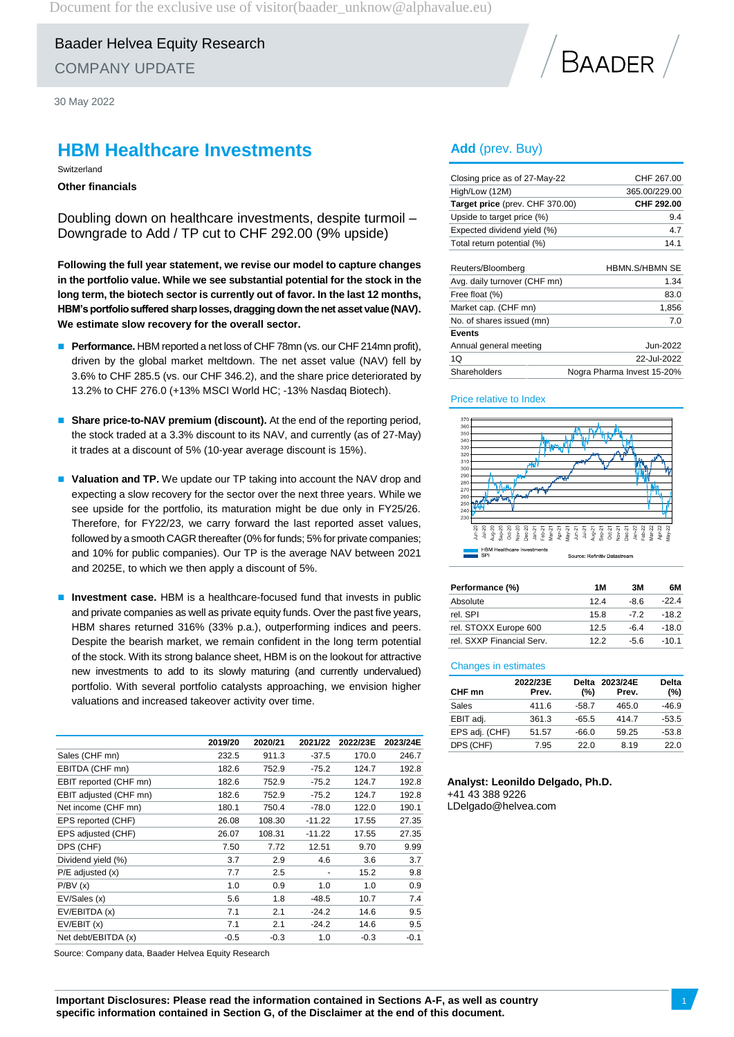Document for the exclusive use of visitor (baader\_unknow@alphavalue.eu)

Baader Helvea Equity Research COMPANY UPDATE

30 May 2022

### **HBM Healthcare Investments**

Switzerland

**Other financials**

Doubling down on healthcare investments, despite turmoil – Downgrade to Add / TP cut to CHF 292.00 (9% upside)

**Following the full year statement, we revise our model to capture changes in the portfolio value. While we see substantial potential for the stock in the long term, the biotech sector is currently out of favor. In the last 12 months,** HBM's portfolio suffered sharp losses, dragging down the net asset value (NAV). **We estimate slow recovery for the overall sector.** 

- **Performance.** HBM reported a net loss of CHF 78mn (vs. our CHF 214mn profit), driven by the global market meltdown. The net asset value (NAV) fell by 3.6% to CHF 285.5 (vs. our CHF 346.2), and the share price deteriorated by 13.2% to CHF 276.0 (+13% MSCI World HC; -13% Nasdaq Biotech).
- **Share price-to-NAV premium (discount).** At the end of the reporting period, the stock traded at a 3.3% discount to its NAV, and currently (as of 27-May) it trades at a discount of 5% (10-year average discount is 15%).
- **Valuation and TP.** We update our TP taking into account the NAV drop and expecting a slow recovery for the sector over the next three years. While we see upside for the portfolio, its maturation might be due only in FY25/26. Therefore, for FY22/23, we carry forward the last reported asset values, followed by a smooth CAGR thereafter (0% for funds; 5% for private companies; and 10% for public companies). Our TP is the average NAV between 2021 and 2025E, to which we then apply a discount of 5%.
- **Investment case.** HBM is a healthcare-focused fund that invests in public and private companies as well as private equity funds. Over the past five years, HBM shares returned 316% (33% p.a.), outperforming indices and peers. Despite the bearish market, we remain confident in the long term potential of the stock. With its strong balance sheet, HBM is on the lookout for attractive new investments to add to its slowly maturing (and currently undervalued) portfolio. With several portfolio catalysts approaching, we envision higher valuations and increased takeover activity over time.

|                        | 2019/20 | 2020/21 | 2021/22  | 2022/23E | 2023/24E |
|------------------------|---------|---------|----------|----------|----------|
| Sales (CHF mn)         | 232.5   | 911.3   | $-37.5$  | 170.0    | 246.7    |
| EBITDA (CHF mn)        | 182.6   | 752.9   | $-75.2$  | 124.7    | 192.8    |
| EBIT reported (CHF mn) | 182.6   | 752.9   | $-75.2$  | 124.7    | 192.8    |
| EBIT adjusted (CHF mn) | 182.6   | 752.9   | $-75.2$  | 124.7    | 192.8    |
| Net income (CHF mn)    | 180.1   | 750.4   | $-78.0$  | 122.0    | 190.1    |
| EPS reported (CHF)     | 26.08   | 108.30  | $-11.22$ | 17.55    | 27.35    |
| EPS adjusted (CHF)     | 26.07   | 108.31  | $-11.22$ | 17.55    | 27.35    |
| DPS (CHF)              | 7.50    | 7.72    | 12.51    | 9.70     | 9.99     |
| Dividend yield (%)     | 3.7     | 2.9     | 4.6      | 3.6      | 3.7      |
| $P/E$ adjusted $(x)$   | 7.7     | 2.5     |          | 15.2     | 9.8      |
| P/BV(x)                | 1.0     | 0.9     | 1.0      | 1.0      | 0.9      |
| EV/Sales (x)           | 5.6     | 1.8     | $-48.5$  | 10.7     | 7.4      |
| EV/EBITDA (x)          | 7.1     | 2.1     | $-24.2$  | 14.6     | 9.5      |
| EV/EBIT(x)             | 7.1     | 2.1     | $-24.2$  | 14.6     | 9.5      |
| Net debt/EBITDA (x)    | $-0.5$  | $-0.3$  | 1.0      | $-0.3$   | $-0.1$   |
|                        |         |         |          |          |          |

Source: Company data, Baader Helvea Equity Research

# **BAADER**

### **Add** (prev. Buy)

| Closing price as of 27-May-22   | CHF 267.00            |
|---------------------------------|-----------------------|
| High/Low (12M)                  | 365.00/229.00         |
| Target price (prev. CHF 370.00) | CHF 292.00            |
| Upside to target price (%)      | 9.4                   |
| Expected dividend yield (%)     | 4.7                   |
| Total return potential (%)      | 14.1                  |
|                                 |                       |
| Reuters/Bloomberg               | <b>HBMN S/HBMN SE</b> |
| Avg. daily turnover (CHF mn)    | 1.34                  |
| Free float (%)                  | 83.0                  |
| Market cap. (CHF mn)            | 1,856                 |
| No. of shares issued (mn)       | 7.0                   |
| <b>Events</b>                   |                       |

Annual general meeting and a state of the Jun-2022 1Q 22-Jul-2022 Shareholders Nogra Pharma Invest 15-20%



| Performance (%)           | 1 M  | 3M    | 6М      |
|---------------------------|------|-------|---------|
| Absolute                  | 124  | -86   | -22 4   |
| rel. SPI                  | 15.8 | $-72$ | $-18.2$ |
| rel. STOXX Europe 600     | 12.5 | -64   | $-18.0$ |
| rel. SXXP Financial Serv. | 122  | -56   | $-10.1$ |

#### Changes in estimates

| CHF mn         | 2022/23E<br>Prev. | $(\%)$  | Delta 2023/24E<br>Prev. | Delta<br>(%) |
|----------------|-------------------|---------|-------------------------|--------------|
| Sales          | 411.6             | $-58.7$ | 465.0                   | $-46.9$      |
| EBIT adj.      | 361.3             | $-65.5$ | 414.7                   | $-53.5$      |
| EPS adj. (CHF) | 51.57             | $-66.0$ | 59.25                   | $-53.8$      |
| DPS (CHF)      | 7.95              | 22.0    | 8.19                    | 22.0         |

### **Analyst: Leonildo Delgado, Ph.D.** +41 43 388 9226

LDelgado@helvea.com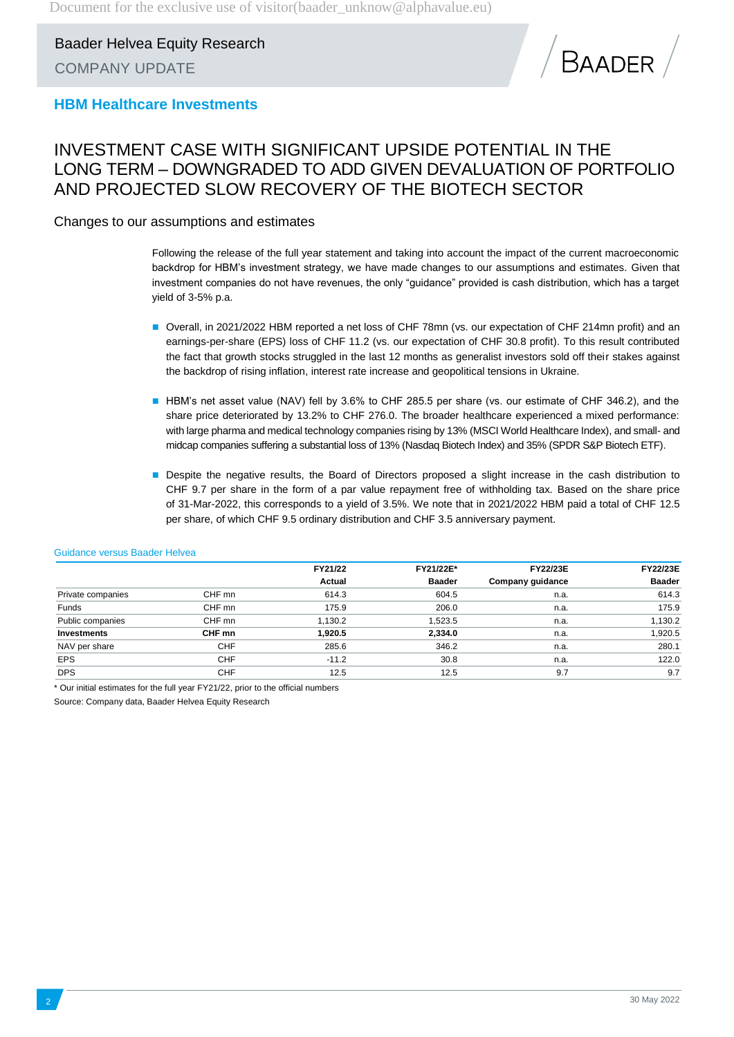

### **HBM Healthcare Investments**

### INVESTMENT CASE WITH SIGNIFICANT UPSIDE POTENTIAL IN THE LONG TERM – DOWNGRADED TO ADD GIVEN DEVALUATION OF PORTFOLIO AND PROJECTED SLOW RECOVERY OF THE BIOTECH SECTOR

Changes to our assumptions and estimates

Following the release of the full year statement and taking into account the impact of the current macroeconomic backdrop for HBM's investment strategy, we have made changes to our assumptions and estimates. Given that investment companies do not have revenues, the only "guidance" provided is cash distribution, which has a target yield of 3-5% p.a.

- Overall, in 2021/2022 HBM reported a net loss of CHF 78mn (vs. our expectation of CHF 214mn profit) and an earnings-per-share (EPS) loss of CHF 11.2 (vs. our expectation of CHF 30.8 profit). To this result contributed the fact that growth stocks struggled in the last 12 months as generalist investors sold off their stakes against the backdrop of rising inflation, interest rate increase and geopolitical tensions in Ukraine.
- HBM's net asset value (NAV) fell by 3.6% to CHF 285.5 per share (vs. our estimate of CHF 346.2), and the share price deteriorated by 13.2% to CHF 276.0. The broader healthcare experienced a mixed performance: with large pharma and medical technology companies rising by 13% (MSCI World Healthcare Index), and small- and midcap companies suffering a substantial loss of 13% (Nasdaq Biotech Index) and 35% (SPDR S&P Biotech ETF).
- Despite the negative results, the Board of Directors proposed a slight increase in the cash distribution to CHF 9.7 per share in the form of a par value repayment free of withholding tax. Based on the share price of 31-Mar-2022, this corresponds to a yield of 3.5%. We note that in 2021/2022 HBM paid a total of CHF 12.5 per share, of which CHF 9.5 ordinary distribution and CHF 3.5 anniversary payment.

|                    |            | FY21/22 | FY21/22E*     | <b>FY22/23E</b>  | <b>FY22/23E</b> |
|--------------------|------------|---------|---------------|------------------|-----------------|
|                    |            | Actual  | <b>Baader</b> | Company guidance | <b>Baader</b>   |
| Private companies  | CHF mn     | 614.3   | 604.5         | n.a.             | 614.3           |
| Funds              | CHF mn     | 175.9   | 206.0         | n.a.             | 175.9           |
| Public companies   | CHF mn     | 1.130.2 | 1,523.5       | n.a.             | 1,130.2         |
| <b>Investments</b> | CHF mn     | 1,920.5 | 2,334.0       | n.a.             | 1,920.5         |
| NAV per share      | <b>CHF</b> | 285.6   | 346.2         | n.a.             | 280.1           |
| <b>EPS</b>         | <b>CHF</b> | $-11.2$ | 30.8          | n.a.             | 122.0           |
| <b>DPS</b>         | <b>CHF</b> | 12.5    | 12.5          | 9.7              | 9.7             |

#### Guidance versus Baader Helvea

\* Our initial estimates for the full year FY21/22, prior to the official numbers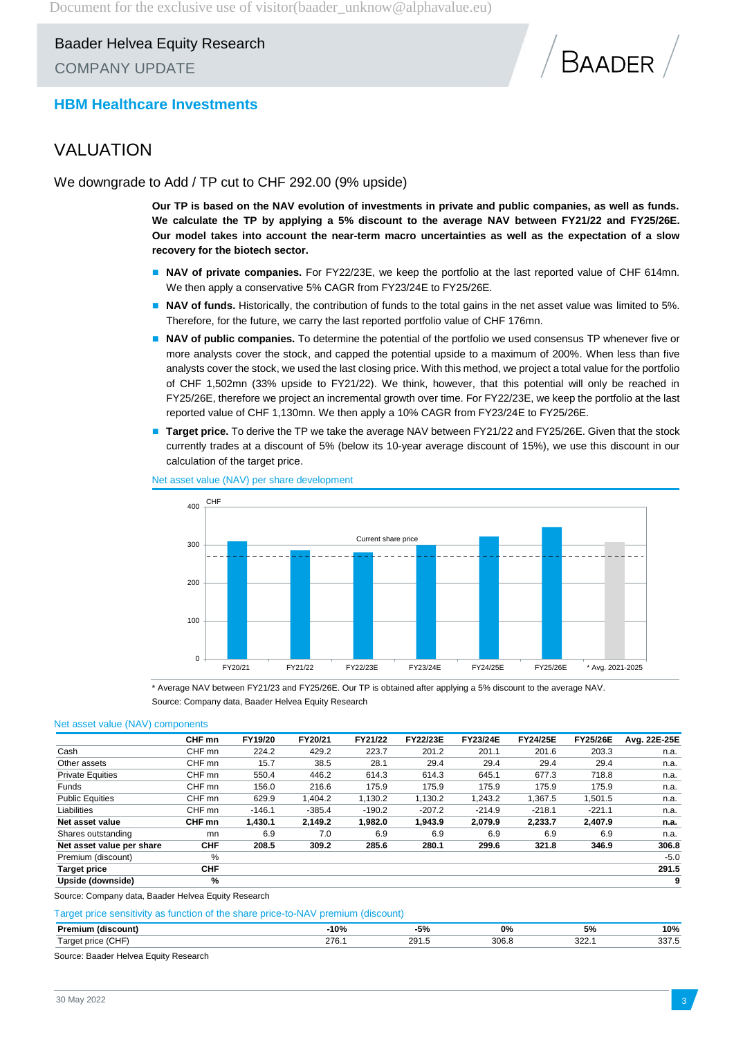

### **HBM Healthcare Investments**

### VALUATION

We downgrade to Add / TP cut to CHF 292.00 (9% upside)

**Our TP is based on the NAV evolution of investments in private and public companies, as well as funds. We calculate the TP by applying a 5% discount to the average NAV between FY21/22 and FY25/26E. Our model takes into account the near-term macro uncertainties as well as the expectation of a slow recovery for the biotech sector.**

- **NAV of private companies.** For FY22/23E, we keep the portfolio at the last reported value of CHF 614mn. We then apply a conservative 5% CAGR from FY23/24E to FY25/26E.
- **NAV of funds.** Historically, the contribution of funds to the total gains in the net asset value was limited to 5%. Therefore, for the future, we carry the last reported portfolio value of CHF 176mn.
- **NAV of public companies.** To determine the potential of the portfolio we used consensus TP whenever five or more analysts cover the stock, and capped the potential upside to a maximum of 200%. When less than five analysts cover the stock, we used the last closing price. With this method, we project a total value for the portfolio of CHF 1,502mn (33% upside to FY21/22). We think, however, that this potential will only be reached in FY25/26E, therefore we project an incremental growth over time. For FY22/23E, we keep the portfolio at the last reported value of CHF 1,130mn. We then apply a 10% CAGR from FY23/24E to FY25/26E.
- **Target price.** To derive the TP we take the average NAV between FY21/22 and FY25/26E. Given that the stock currently trades at a discount of 5% (below its 10-year average discount of 15%), we use this discount in our calculation of the target price.



Net asset value (NAV) per share development

\* Average NAV between FY21/23 and FY25/26E. Our TP is obtained after applying a 5% discount to the average NAV. Source: Company data, Baader Helvea Equity Research

#### Net asset value (NAV) components

|                           | CHF mn     | FY19/20  | FY20/21  | FY21/22  | FY22/23E | <b>FY23/24E</b> | <b>FY24/25E</b> | <b>FY25/26E</b> | Avg. 22E-25E |
|---------------------------|------------|----------|----------|----------|----------|-----------------|-----------------|-----------------|--------------|
| Cash                      | CHF mn     | 224.2    | 429.2    | 223.7    | 201.2    | 201.1           | 201.6           | 203.3           | n.a.         |
| Other assets              | CHF mn     | 15.7     | 38.5     | 28.1     | 29.4     | 29.4            | 29.4            | 29.4            | n.a.         |
| <b>Private Equities</b>   | CHF mn     | 550.4    | 446.2    | 614.3    | 614.3    | 645.1           | 677.3           | 718.8           | n.a.         |
| <b>Funds</b>              | CHF mn     | 156.0    | 216.6    | 175.9    | 175.9    | 175.9           | 175.9           | 175.9           | n.a.         |
| <b>Public Equities</b>    | CHF mn     | 629.9    | 1.404.2  | 1.130.2  | 1.130.2  | 1.243.2         | 1.367.5         | 1.501.5         | n.a.         |
| Liabilities               | CHF mn     | $-146.1$ | $-385.4$ | $-190.2$ | $-207.2$ | $-214.9$        | $-218.1$        | $-221.1$        | n.a.         |
| Net asset value           | CHF mn     | 1,430.1  | 2.149.2  | 1.982.0  | 1.943.9  | 2,079.9         | 2.233.7         | 2,407.9         | n.a.         |
| Shares outstanding        | mn         | 6.9      | 7.0      | 6.9      | 6.9      | 6.9             | 6.9             | 6.9             | n.a.         |
| Net asset value per share | <b>CHF</b> | 208.5    | 309.2    | 285.6    | 280.1    | 299.6           | 321.8           | 346.9           | 306.8        |
| Premium (discount)        | %          |          |          |          |          |                 |                 |                 | $-5.0$       |
| <b>Target price</b>       | <b>CHF</b> |          |          |          |          |                 |                 |                 | 291.5        |
| Upside (downside)         | %          |          |          |          |          |                 |                 |                 | 9            |

Source: Company data, Baader Helvea Equity Research

#### Target price sensitivity as function of the share price-to-NAV premium (discount)

| в. п. | .10%<br>v / 0<br>. | Eo.<br>,,,                        | 0%             | ວ 70<br>- - - | 10%<br>.      |
|-------|--------------------|-----------------------------------|----------------|---------------|---------------|
| . .   | 276                | 0 <sup>2</sup><br>$\sim$ 5 $\sim$ | $\sim$<br>30 t | $\sim$ $\sim$ | ר ה<br>ື<br>. |

Source: Baader Helvea Equity Research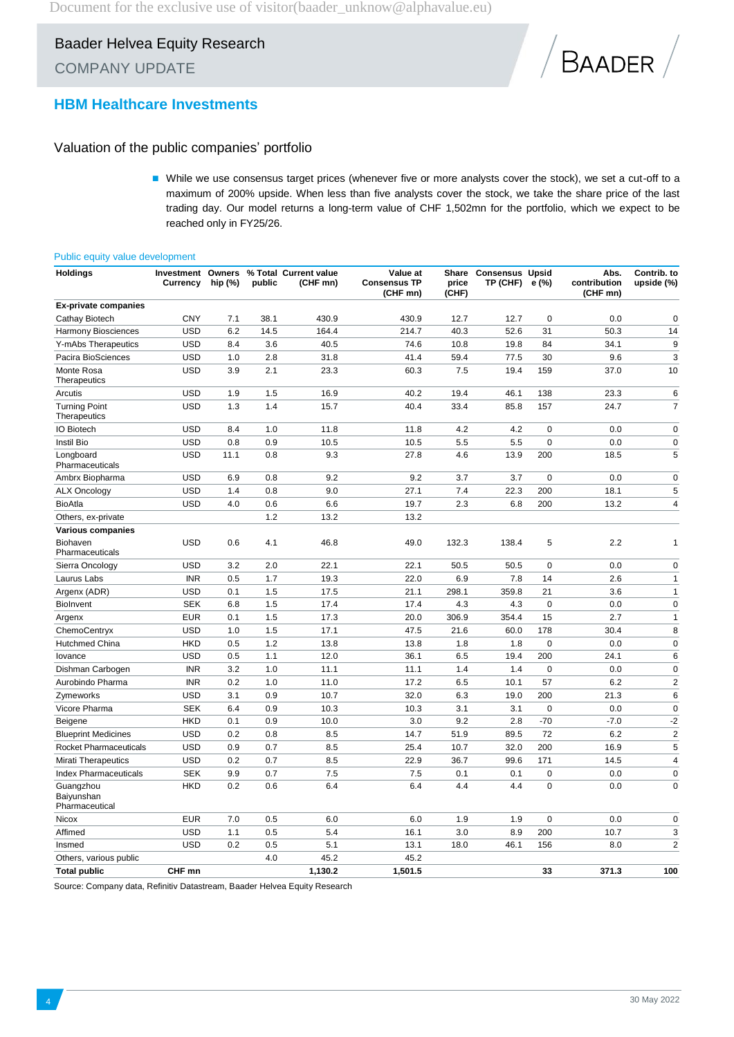

### **HBM Healthcare Investments**

### Valuation of the public companies' portfolio

 While we use consensus target prices (whenever five or more analysts cover the stock), we set a cut-off to a maximum of 200% upside. When less than five analysts cover the stock, we take the share price of the last trading day. Our model returns a long-term value of CHF 1,502mn for the portfolio, which we expect to be reached only in FY25/26.

#### Public equity value development

| <b>Holdings</b>                           | <b>Investment Owners</b><br>Currency | hip (%) | public | % Total Current value<br>(CHF mn) | Value at<br><b>Consensus TP</b><br>(CHF mn) | price<br>(CHF) | Share Consensus Upsid<br>TP (CHF) e (%) |             | Abs.<br>contribution<br>(CHF mn) | Contrib. to<br>upside (%) |
|-------------------------------------------|--------------------------------------|---------|--------|-----------------------------------|---------------------------------------------|----------------|-----------------------------------------|-------------|----------------------------------|---------------------------|
| <b>Ex-private companies</b>               |                                      |         |        |                                   |                                             |                |                                         |             |                                  |                           |
| Cathay Biotech                            | <b>CNY</b>                           | 7.1     | 38.1   | 430.9                             | 430.9                                       | 12.7           | 12.7                                    | 0           | 0.0                              | $\mathbf 0$               |
| <b>Harmony Biosciences</b>                | <b>USD</b>                           | 6.2     | 14.5   | 164.4                             | 214.7                                       | 40.3           | 52.6                                    | 31          | 50.3                             | 14                        |
| Y-mAbs Therapeutics                       | <b>USD</b>                           | 8.4     | 3.6    | 40.5                              | 74.6                                        | 10.8           | 19.8                                    | 84          | 34.1                             | 9                         |
| Pacira BioSciences                        | <b>USD</b>                           | 1.0     | 2.8    | 31.8                              | 41.4                                        | 59.4           | 77.5                                    | 30          | 9.6                              | 3                         |
| Monte Rosa<br>Therapeutics                | <b>USD</b>                           | 3.9     | 2.1    | 23.3                              | 60.3                                        | 7.5            | 19.4                                    | 159         | 37.0                             | 10                        |
| Arcutis                                   | <b>USD</b>                           | 1.9     | 1.5    | 16.9                              | 40.2                                        | 19.4           | 46.1                                    | 138         | 23.3                             | 6                         |
| <b>Turning Point</b><br>Therapeutics      | <b>USD</b>                           | 1.3     | 1.4    | 15.7                              | 40.4                                        | 33.4           | 85.8                                    | 157         | 24.7                             | $\overline{7}$            |
| <b>IO Biotech</b>                         | <b>USD</b>                           | 8.4     | 1.0    | 11.8                              | 11.8                                        | 4.2            | 4.2                                     | 0           | 0.0                              | 0                         |
| Instil Bio                                | <b>USD</b>                           | 0.8     | 0.9    | 10.5                              | 10.5                                        | 5.5            | 5.5                                     | $\mathbf 0$ | 0.0                              | $\pmb{0}$                 |
| Longboard<br>Pharmaceuticals              | <b>USD</b>                           | 11.1    | 0.8    | 9.3                               | 27.8                                        | 4.6            | 13.9                                    | 200         | 18.5                             | 5                         |
| Ambrx Biopharma                           | <b>USD</b>                           | 6.9     | 0.8    | 9.2                               | 9.2                                         | 3.7            | 3.7                                     | $\mathbf 0$ | 0.0                              | 0                         |
| <b>ALX Oncology</b>                       | <b>USD</b>                           | 1.4     | 0.8    | 9.0                               | 27.1                                        | 7.4            | 22.3                                    | 200         | 18.1                             | 5                         |
| <b>BioAtla</b>                            | <b>USD</b>                           | 4.0     | 0.6    | 6.6                               | 19.7                                        | 2.3            | 6.8                                     | 200         | 13.2                             | 4                         |
| Others, ex-private                        |                                      |         | 1.2    | 13.2                              | 13.2                                        |                |                                         |             |                                  |                           |
| <b>Various companies</b>                  |                                      |         |        |                                   |                                             |                |                                         |             |                                  |                           |
| <b>Biohaven</b><br>Pharmaceuticals        | <b>USD</b>                           | 0.6     | 4.1    | 46.8                              | 49.0                                        | 132.3          | 138.4                                   | 5           | 2.2                              | $\mathbf{1}$              |
| Sierra Oncology                           | <b>USD</b>                           | 3.2     | 2.0    | 22.1                              | 22.1                                        | 50.5           | 50.5                                    | $\pmb{0}$   | 0.0                              | $\pmb{0}$                 |
| Laurus Labs                               | <b>INR</b>                           | 0.5     | 1.7    | 19.3                              | 22.0                                        | 6.9            | 7.8                                     | 14          | 2.6                              | $\mathbf{1}$              |
| Argenx (ADR)                              | <b>USD</b>                           | 0.1     | 1.5    | 17.5                              | 21.1                                        | 298.1          | 359.8                                   | 21          | 3.6                              | $\mathbf{1}$              |
| <b>Biolnvent</b>                          | <b>SEK</b>                           | 6.8     | 1.5    | 17.4                              | 17.4                                        | 4.3            | 4.3                                     | 0           | 0.0                              | $\mathbf 0$               |
| Argenx                                    | <b>EUR</b>                           | 0.1     | 1.5    | 17.3                              | 20.0                                        | 306.9          | 354.4                                   | 15          | 2.7                              | $\mathbf{1}$              |
| ChemoCentryx                              | <b>USD</b>                           | 1.0     | 1.5    | 17.1                              | 47.5                                        | 21.6           | 60.0                                    | 178         | 30.4                             | 8                         |
| Hutchmed China                            | <b>HKD</b>                           | 0.5     | 1.2    | 13.8                              | 13.8                                        | 1.8            | 1.8                                     | $\mathbf 0$ | 0.0                              | $\pmb{0}$                 |
| lovance                                   | <b>USD</b>                           | 0.5     | 1.1    | 12.0                              | 36.1                                        | 6.5            | 19.4                                    | 200         | 24.1                             | 6                         |
| Dishman Carbogen                          | <b>INR</b>                           | 3.2     | 1.0    | 11.1                              | 11.1                                        | 1.4            | 1.4                                     | 0           | 0.0                              | $\pmb{0}$                 |
| Aurobindo Pharma                          | <b>INR</b>                           | 0.2     | 1.0    | 11.0                              | 17.2                                        | 6.5            | 10.1                                    | 57          | 6.2                              | $\mathbf 2$               |
| Zymeworks                                 | <b>USD</b>                           | 3.1     | 0.9    | 10.7                              | 32.0                                        | 6.3            | 19.0                                    | 200         | 21.3                             | 6                         |
| Vicore Pharma                             | <b>SEK</b>                           | 6.4     | 0.9    | 10.3                              | 10.3                                        | 3.1            | 3.1                                     | 0           | 0.0                              | $\pmb{0}$                 |
| Beigene                                   | <b>HKD</b>                           | 0.1     | 0.9    | 10.0                              | 3.0                                         | 9.2            | 2.8                                     | $-70$       | $-7.0$                           | $-2$                      |
| <b>Blueprint Medicines</b>                | <b>USD</b>                           | 0.2     | 0.8    | 8.5                               | 14.7                                        | 51.9           | 89.5                                    | 72          | 6.2                              | $\mathbf 2$               |
| Rocket Pharmaceuticals                    | <b>USD</b>                           | 0.9     | 0.7    | 8.5                               | 25.4                                        | 10.7           | 32.0                                    | 200         | 16.9                             | 5                         |
| <b>Mirati Therapeutics</b>                | <b>USD</b>                           | 0.2     | 0.7    | 8.5                               | 22.9                                        | 36.7           | 99.6                                    | 171         | 14.5                             | $\overline{\mathbf{4}}$   |
| <b>Index Pharmaceuticals</b>              | <b>SEK</b>                           | 9.9     | 0.7    | 7.5                               | 7.5                                         | 0.1            | 0.1                                     | 0           | 0.0                              | $\pmb{0}$                 |
| Guangzhou<br>Baiyunshan<br>Pharmaceutical | <b>HKD</b>                           | 0.2     | 0.6    | 6.4                               | 6.4                                         | 4.4            | 4.4                                     | 0           | 0.0                              | $\pmb{0}$                 |
| Nicox                                     | <b>EUR</b>                           | 7.0     | 0.5    | 6.0                               | 6.0                                         | 1.9            | 1.9                                     | 0           | 0.0                              | 0                         |
| Affimed                                   | <b>USD</b>                           | 1.1     | 0.5    | 5.4                               | 16.1                                        | 3.0            | 8.9                                     | 200         | 10.7                             | 3                         |
| Insmed                                    | <b>USD</b>                           | 0.2     | 0.5    | 5.1                               | 13.1                                        | 18.0           | 46.1                                    | 156         | 8.0                              | $\overline{2}$            |
| Others, various public                    |                                      |         | 4.0    | 45.2                              | 45.2                                        |                |                                         |             |                                  |                           |
| <b>Total public</b>                       | CHF mn                               |         |        | 1,130.2                           | 1,501.5                                     |                |                                         | 33          | 371.3                            | 100                       |

Source: Company data, Refinitiv Datastream, Baader Helvea Equity Research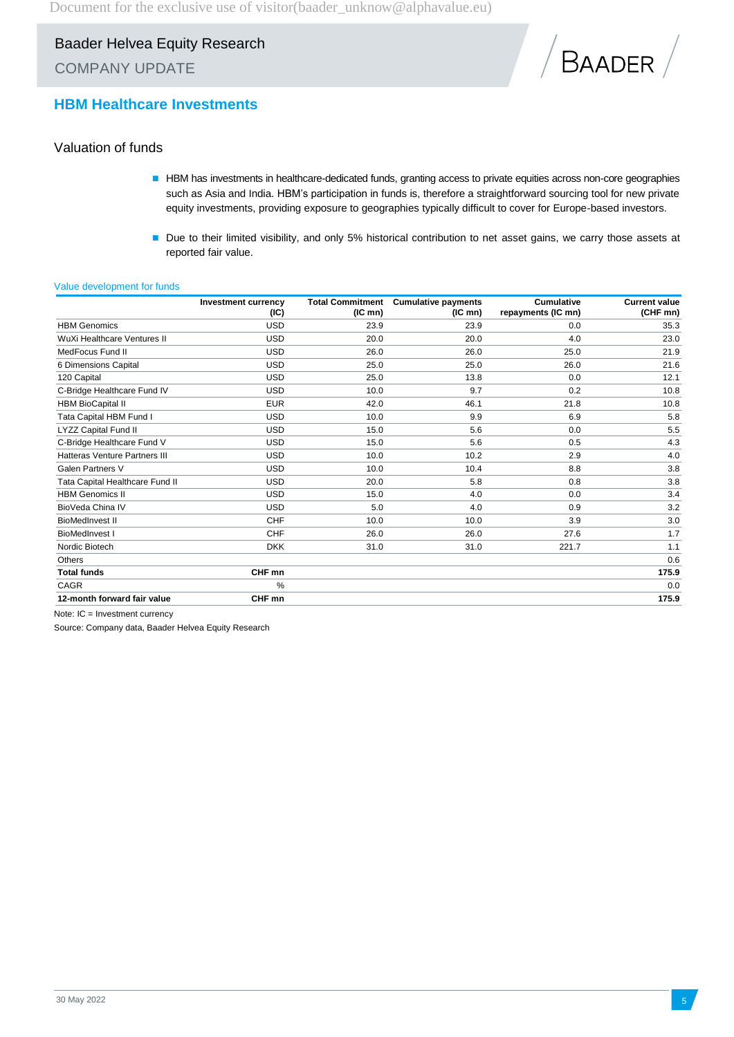

### **HBM Healthcare Investments**

### Valuation of funds

- HBM has investments in healthcare-dedicated funds, granting access to private equities across non-core geographies such as Asia and India. HBM's participation in funds is, therefore a straightforward sourcing tool for new private equity investments, providing exposure to geographies typically difficult to cover for Europe-based investors.
- Due to their limited visibility, and only 5% historical contribution to net asset gains, we carry those assets at reported fair value.

#### Value development for funds

|                                 | <b>Investment currency</b><br>(IC) | <b>Total Commitment</b><br>$(IC \, mn)$ | <b>Cumulative payments</b><br>$(IC \, mn)$ | <b>Cumulative</b><br>repayments (IC mn) | <b>Current value</b><br>(CHF mn) |
|---------------------------------|------------------------------------|-----------------------------------------|--------------------------------------------|-----------------------------------------|----------------------------------|
| <b>HBM</b> Genomics             | <b>USD</b>                         | 23.9                                    | 23.9                                       | 0.0                                     | 35.3                             |
| WuXi Healthcare Ventures II     | <b>USD</b>                         | 20.0                                    | 20.0                                       | 4.0                                     | 23.0                             |
| MedFocus Fund II                | <b>USD</b>                         | 26.0                                    | 26.0                                       | 25.0                                    | 21.9                             |
| 6 Dimensions Capital            | <b>USD</b>                         | 25.0                                    | 25.0                                       | 26.0                                    | 21.6                             |
| 120 Capital                     | <b>USD</b>                         | 25.0                                    | 13.8                                       | 0.0                                     | 12.1                             |
| C-Bridge Healthcare Fund IV     | <b>USD</b>                         | 10.0                                    | 9.7                                        | 0.2                                     | 10.8                             |
| <b>HBM BioCapital II</b>        | <b>EUR</b>                         | 42.0                                    | 46.1                                       | 21.8                                    | 10.8                             |
| Tata Capital HBM Fund I         | <b>USD</b>                         | 10.0                                    | 9.9                                        | 6.9                                     | 5.8                              |
| LYZZ Capital Fund II            | <b>USD</b>                         | 15.0                                    | 5.6                                        | 0.0                                     | 5.5                              |
| C-Bridge Healthcare Fund V      | <b>USD</b>                         | 15.0                                    | 5.6                                        | 0.5                                     | 4.3                              |
| Hatteras Venture Partners III   | <b>USD</b>                         | 10.0                                    | 10.2                                       | 2.9                                     | 4.0                              |
| <b>Galen Partners V</b>         | <b>USD</b>                         | 10.0                                    | 10.4                                       | 8.8                                     | 3.8                              |
| Tata Capital Healthcare Fund II | <b>USD</b>                         | 20.0                                    | 5.8                                        | 0.8                                     | 3.8                              |
| <b>HBM Genomics II</b>          | <b>USD</b>                         | 15.0                                    | 4.0                                        | 0.0                                     | 3.4                              |
| BioVeda China IV                | <b>USD</b>                         | 5.0                                     | 4.0                                        | 0.9                                     | 3.2                              |
| <b>BioMedInvest II</b>          | CHF                                | 10.0                                    | 10.0                                       | 3.9                                     | 3.0                              |
| <b>BioMedInvest I</b>           | CHF                                | 26.0                                    | 26.0                                       | 27.6                                    | 1.7                              |
| Nordic Biotech                  | <b>DKK</b>                         | 31.0                                    | 31.0                                       | 221.7                                   | 1.1                              |
| <b>Others</b>                   |                                    |                                         |                                            |                                         | 0.6                              |
| <b>Total funds</b>              | CHF mn                             |                                         |                                            |                                         | 175.9                            |
| CAGR                            | %                                  |                                         |                                            |                                         | 0.0                              |
| 12-month forward fair value     | CHF mn                             |                                         |                                            |                                         | 175.9                            |

Note: IC = Investment currency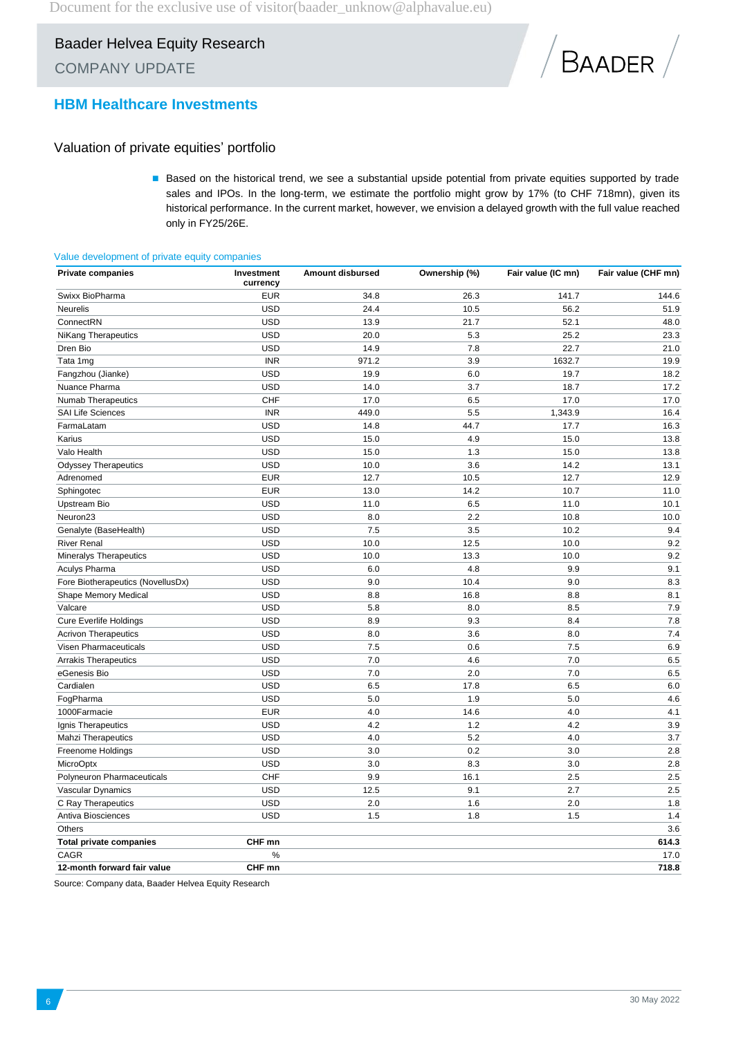

### **HBM Healthcare Investments**

### Valuation of private equities' portfolio

Based on the historical trend, we see a substantial upside potential from private equities supported by trade sales and IPOs. In the long-term, we estimate the portfolio might grow by 17% (to CHF 718mn), given its historical performance. In the current market, however, we envision a delayed growth with the full value reached only in FY25/26E.

#### Value development of private equity companies

| <b>Private companies</b>          | Investment<br>currency | Amount disbursed | Ownership (%) | Fair value (IC mn) | Fair value (CHF mn) |
|-----------------------------------|------------------------|------------------|---------------|--------------------|---------------------|
| Swixx BioPharma                   | <b>EUR</b>             | 34.8             | 26.3          | 141.7              | 144.6               |
| <b>Neurelis</b>                   | <b>USD</b>             | 24.4             | 10.5          | 56.2               | 51.9                |
| ConnectRN                         | <b>USD</b>             | 13.9             | 21.7          | 52.1               | 48.0                |
| <b>NiKang Therapeutics</b>        | <b>USD</b>             | 20.0             | 5.3           | 25.2               | 23.3                |
| Dren Bio                          | <b>USD</b>             | 14.9             | 7.8           | 22.7               | 21.0                |
| Tata 1mg                          | <b>INR</b>             | 971.2            | 3.9           | 1632.7             | 19.9                |
| Fangzhou (Jianke)                 | <b>USD</b>             | 19.9             | 6.0           | 19.7               | 18.2                |
| Nuance Pharma                     | <b>USD</b>             | 14.0             | 3.7           | 18.7               | 17.2                |
| <b>Numab Therapeutics</b>         | CHF                    | 17.0             | 6.5           | 17.0               | 17.0                |
| <b>SAI Life Sciences</b>          | <b>INR</b>             | 449.0            | 5.5           | 1,343.9            | 16.4                |
| FarmaLatam                        | <b>USD</b>             | 14.8             | 44.7          | 17.7               | 16.3                |
| Karius                            | <b>USD</b>             | 15.0             | 4.9           | 15.0               | 13.8                |
| Valo Health                       | <b>USD</b>             | 15.0             | 1.3           | 15.0               | 13.8                |
| <b>Odyssey Therapeutics</b>       | <b>USD</b>             | 10.0             | 3.6           | 14.2               | 13.1                |
| Adrenomed                         | <b>EUR</b>             | 12.7             | 10.5          | 12.7               | 12.9                |
| Sphingotec                        | <b>EUR</b>             | 13.0             | 14.2          | 10.7               | 11.0                |
| Upstream Bio                      | <b>USD</b>             | 11.0             | 6.5           | 11.0               | 10.1                |
| Neuron <sub>23</sub>              | <b>USD</b>             | 8.0              | 2.2           | 10.8               | 10.0                |
| Genalyte (BaseHealth)             | <b>USD</b>             | 7.5              | 3.5           | 10.2               | 9.4                 |
| <b>River Renal</b>                | <b>USD</b>             | 10.0             | 12.5          | 10.0               | 9.2                 |
| Mineralys Therapeutics            | <b>USD</b>             | 10.0             | 13.3          | 10.0               | 9.2                 |
| <b>Aculys Pharma</b>              | <b>USD</b>             | 6.0              | 4.8           | 9.9                | 9.1                 |
| Fore Biotherapeutics (NovellusDx) | <b>USD</b>             | 9.0              | 10.4          | 9.0                | 8.3                 |
| Shape Memory Medical              | <b>USD</b>             | 8.8              | 16.8          | 8.8                | 8.1                 |
| Valcare                           | <b>USD</b>             | 5.8              | 8.0           | 8.5                | 7.9                 |
| <b>Cure Everlife Holdings</b>     | <b>USD</b>             | 8.9              | 9.3           | 8.4                | 7.8                 |
| <b>Acrivon Therapeutics</b>       | <b>USD</b>             | 8.0              | 3.6           | 8.0                | 7.4                 |
| Visen Pharmaceuticals             | <b>USD</b>             | 7.5              | 0.6           | 7.5                | 6.9                 |
| <b>Arrakis Therapeutics</b>       | <b>USD</b>             | 7.0              | 4.6           | 7.0                | 6.5                 |
| eGenesis Bio                      | <b>USD</b>             | 7.0              | 2.0           | 7.0                | 6.5                 |
| Cardialen                         | <b>USD</b>             | 6.5              | 17.8          | 6.5                | 6.0                 |
| FogPharma                         | <b>USD</b>             | 5.0              | 1.9           | 5.0                | 4.6                 |
| 1000Farmacie                      | <b>EUR</b>             | 4.0              | 14.6          | 4.0                | 4.1                 |
| Ignis Therapeutics                | <b>USD</b>             | 4.2              | 1.2           | 4.2                | 3.9                 |
| <b>Mahzi Therapeutics</b>         | <b>USD</b>             | 4.0              | 5.2           | 4.0                | 3.7                 |
| Freenome Holdings                 | <b>USD</b>             | 3.0              | 0.2           | 3.0                | 2.8                 |
| MicroOptx                         | <b>USD</b>             | 3.0              | 8.3           | 3.0                | 2.8                 |
| Polyneuron Pharmaceuticals        | CHF                    | 9.9              | 16.1          | 2.5                | 2.5                 |
| Vascular Dynamics                 | <b>USD</b>             | 12.5             | 9.1           | 2.7                | 2.5                 |
| C Ray Therapeutics                | <b>USD</b>             | 2.0              | 1.6           | 2.0                | 1.8                 |
| Antiva Biosciences                | <b>USD</b>             | 1.5              | 1.8           | 1.5                | 1.4                 |
| Others                            |                        |                  |               |                    | 3.6                 |
| <b>Total private companies</b>    | CHF mn                 |                  |               |                    | 614.3               |
| CAGR                              | %                      |                  |               |                    | 17.0                |
| 12-month forward fair value       | CHF mn                 |                  |               |                    | 718.8               |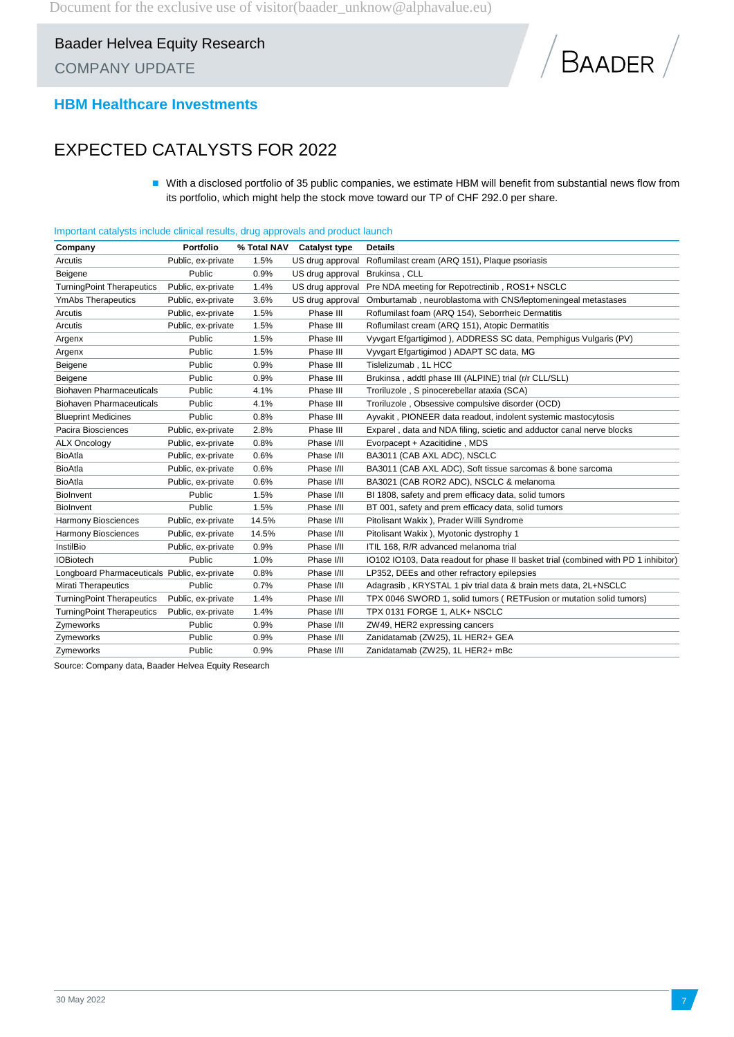

### **HBM Healthcare Investments**

### EXPECTED CATALYSTS FOR 2022

■ With a disclosed portfolio of 35 public companies, we estimate HBM will benefit from substantial news flow from its portfolio, which might help the stock move toward our TP of CHF 292.0 per share.

|  |  |  |  | Important catalysts include clinical results, drug approvals and product launch |
|--|--|--|--|---------------------------------------------------------------------------------|
|--|--|--|--|---------------------------------------------------------------------------------|

| Company                                      | Portfolio          | % Total NAV | <b>Catalyst type</b> | <b>Details</b>                                                                     |
|----------------------------------------------|--------------------|-------------|----------------------|------------------------------------------------------------------------------------|
| Arcutis                                      | Public, ex-private | 1.5%        | US drug approval     | Roflumilast cream (ARQ 151), Plaque psoriasis                                      |
| Beigene                                      | Public             | 0.9%        | US drug approval     | Brukinsa, CLL                                                                      |
| <b>TurningPoint Therapeutics</b>             | Public, ex-private | 1.4%        | US drug approval     | Pre NDA meeting for Repotrectinib, ROS1+ NSCLC                                     |
| <b>YmAbs Therapeutics</b>                    | Public, ex-private | 3.6%        | US drug approval     | Omburtamab, neuroblastoma with CNS/leptomeningeal metastases                       |
| Arcutis                                      | Public, ex-private | 1.5%        | Phase III            | Roflumilast foam (ARQ 154), Seborrheic Dermatitis                                  |
| Arcutis                                      | Public, ex-private | 1.5%        | Phase III            | Roflumilast cream (ARQ 151), Atopic Dermatitis                                     |
| Argenx                                       | Public             | 1.5%        | Phase III            | Vyvgart Efgartigimod ), ADDRESS SC data, Pemphigus Vulgaris (PV)                   |
| Argenx                                       | Public             | 1.5%        | Phase III            | Vyvgart Efgartigimod ) ADAPT SC data, MG                                           |
| Beigene                                      | Public             | 0.9%        | Phase III            | Tislelizumab, 1L HCC                                                               |
| Beigene                                      | Public             | 0.9%        | Phase III            | Brukinsa, addtl phase III (ALPINE) trial (r/r CLL/SLL)                             |
| <b>Biohaven Pharmaceuticals</b>              | Public             | 4.1%        | Phase III            | Troriluzole, S pinocerebellar ataxia (SCA)                                         |
| <b>Biohaven Pharmaceuticals</b>              | Public             | 4.1%        | Phase III            | Troriluzole, Obsessive compulsive disorder (OCD)                                   |
| <b>Blueprint Medicines</b>                   | Public             | 0.8%        | Phase III            | Ayvakit, PIONEER data readout, indolent systemic mastocytosis                      |
| Pacira Biosciences                           | Public, ex-private | 2.8%        | Phase III            | Exparel, data and NDA filing, scietic and adductor canal nerve blocks              |
| <b>ALX Oncology</b>                          | Public, ex-private | 0.8%        | Phase I/II           | Evorpacept + Azacitidine, MDS                                                      |
| <b>BioAtla</b>                               | Public, ex-private | 0.6%        | Phase I/II           | BA3011 (CAB AXL ADC), NSCLC                                                        |
| <b>BioAtla</b>                               | Public, ex-private | 0.6%        | Phase I/II           | BA3011 (CAB AXL ADC), Soft tissue sarcomas & bone sarcoma                          |
| <b>BioAtla</b>                               | Public, ex-private | 0.6%        | Phase I/II           | BA3021 (CAB ROR2 ADC), NSCLC & melanoma                                            |
| Biolnvent                                    | Public             | 1.5%        | Phase I/II           | BI 1808, safety and prem efficacy data, solid tumors                               |
| <b>Biolnvent</b>                             | Public             | 1.5%        | Phase I/II           | BT 001, safety and prem efficacy data, solid tumors                                |
| Harmony Biosciences                          | Public, ex-private | 14.5%       | Phase I/II           | Pitolisant Wakix ), Prader Willi Syndrome                                          |
| Harmony Biosciences                          | Public, ex-private | 14.5%       | Phase I/II           | Pitolisant Wakix ), Myotonic dystrophy 1                                           |
| InstilBio                                    | Public, ex-private | 0.9%        | Phase I/II           | ITIL 168, R/R advanced melanoma trial                                              |
| <b>IOBiotech</b>                             | Public             | 1.0%        | Phase I/II           | 10102 10103, Data readout for phase II basket trial (combined with PD 1 inhibitor) |
| Longboard Pharmaceuticals Public, ex-private |                    | 0.8%        | Phase I/II           | LP352, DEEs and other refractory epilepsies                                        |
| <b>Mirati Therapeutics</b>                   | Public             | 0.7%        | Phase I/II           | Adagrasib, KRYSTAL 1 piv trial data & brain mets data, 2L+NSCLC                    |
| <b>TurningPoint Therapeutics</b>             | Public, ex-private | 1.4%        | Phase I/II           | TPX 0046 SWORD 1, solid tumors (RETFusion or mutation solid tumors)                |
| <b>TurningPoint Therapeutics</b>             | Public, ex-private | 1.4%        | Phase I/II           | TPX 0131 FORGE 1, ALK+ NSCLC                                                       |
| Zymeworks                                    | Public             | 0.9%        | Phase I/II           | ZW49, HER2 expressing cancers                                                      |
| Zymeworks                                    | Public             | 0.9%        | Phase I/II           | Zanidatamab (ZW25), 1L HER2+ GEA                                                   |
| Zymeworks                                    | Public             | 0.9%        | Phase I/II           | Zanidatamab (ZW25), 1L HER2+ mBc                                                   |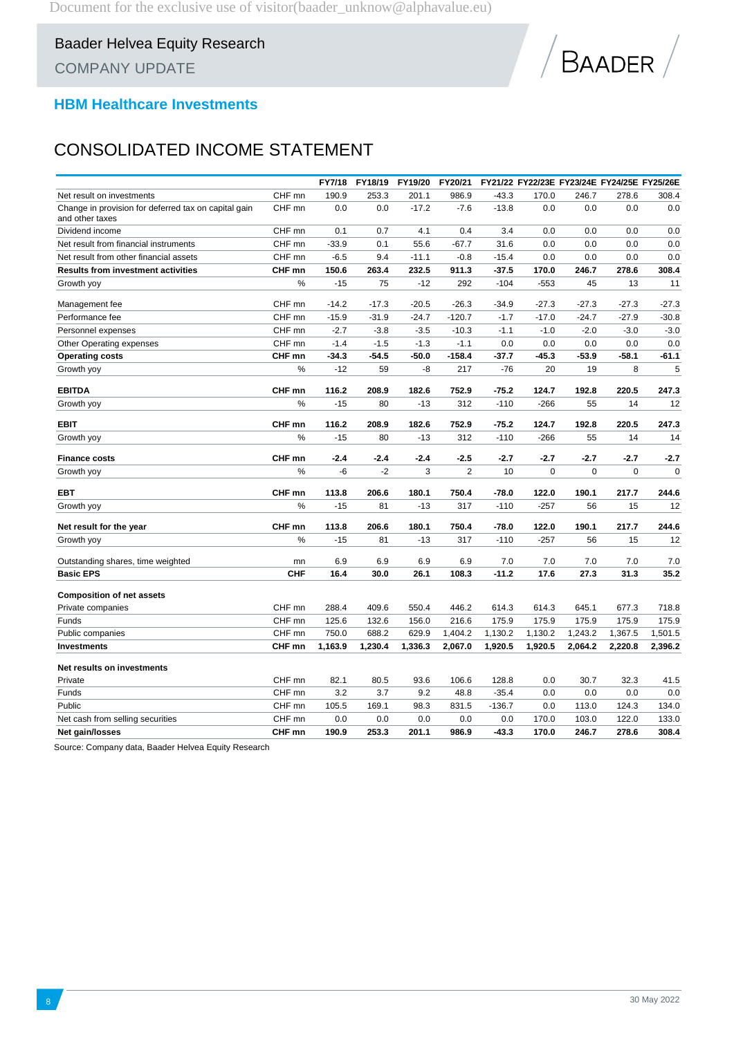

### **HBM Healthcare Investments**

### CONSOLIDATED INCOME STATEMENT

|                                                                         |                   | FY7/18  | FY18/19 | FY19/20 | FY20/21        |          |         |             | FY21/22 FY22/23E FY23/24E FY24/25E FY25/26E |           |
|-------------------------------------------------------------------------|-------------------|---------|---------|---------|----------------|----------|---------|-------------|---------------------------------------------|-----------|
| Net result on investments                                               | CHF mn            | 190.9   | 253.3   | 201.1   | 986.9          | $-43.3$  | 170.0   | 246.7       | 278.6                                       | 308.4     |
| Change in provision for deferred tax on capital gain<br>and other taxes | CHF mn            | 0.0     | 0.0     | $-17.2$ | $-7.6$         | $-13.8$  | 0.0     | 0.0         | 0.0                                         | 0.0       |
| Dividend income                                                         | CHF mn            | 0.1     | 0.7     | 4.1     | 0.4            | 3.4      | 0.0     | 0.0         | 0.0                                         | 0.0       |
| Net result from financial instruments                                   | CHF mn            | $-33.9$ | 0.1     | 55.6    | $-67.7$        | 31.6     | 0.0     | 0.0         | 0.0                                         | 0.0       |
| Net result from other financial assets                                  | CHF mn            | $-6.5$  | 9.4     | $-11.1$ | $-0.8$         | $-15.4$  | 0.0     | $0.0\,$     | 0.0                                         | 0.0       |
| <b>Results from investment activities</b>                               | CHF mn            | 150.6   | 263.4   | 232.5   | 911.3          | $-37.5$  | 170.0   | 246.7       | 278.6                                       | 308.4     |
| Growth yoy                                                              | %                 | $-15$   | 75      | $-12$   | 292            | $-104$   | $-553$  | 45          | 13                                          | 11        |
| Management fee                                                          | CHF mn            | $-14.2$ | $-17.3$ | $-20.5$ | $-26.3$        | $-34.9$  | $-27.3$ | $-27.3$     | $-27.3$                                     | $-27.3$   |
| Performance fee                                                         | CHF mn            | $-15.9$ | $-31.9$ | $-24.7$ | $-120.7$       | $-1.7$   | $-17.0$ | $-24.7$     | $-27.9$                                     | $-30.8$   |
| Personnel expenses                                                      | CHF <sub>mn</sub> | $-2.7$  | $-3.8$  | $-3.5$  | $-10.3$        | $-1.1$   | $-1.0$  | $-2.0$      | $-3.0$                                      | $-3.0$    |
| Other Operating expenses                                                | CHF mn            | $-1.4$  | $-1.5$  | $-1.3$  | $-1.1$         | 0.0      | 0.0     | 0.0         | 0.0                                         | 0.0       |
| <b>Operating costs</b>                                                  | CHF mn            | $-34.3$ | $-54.5$ | $-50.0$ | $-158.4$       | $-37.7$  | $-45.3$ | $-53.9$     | $-58.1$                                     | $-61.1$   |
| Growth yoy                                                              | %                 | $-12$   | 59      | -8      | 217            | $-76$    | 20      | 19          | 8                                           | 5         |
| <b>EBITDA</b>                                                           | CHF mn            | 116.2   | 208.9   | 182.6   | 752.9          | $-75.2$  | 124.7   | 192.8       | 220.5                                       | 247.3     |
| Growth yoy                                                              | $\frac{0}{0}$     | $-15$   | 80      | $-13$   | 312            | $-110$   | $-266$  | 55          | 14                                          | 12        |
| EBIT                                                                    | CHF mn            | 116.2   | 208.9   | 182.6   | 752.9          | $-75.2$  | 124.7   | 192.8       | 220.5                                       | 247.3     |
| Growth yoy                                                              | $\%$              | $-15$   | 80      | $-13$   | 312            | $-110$   | $-266$  | 55          | 14                                          | 14        |
| <b>Finance costs</b>                                                    | CHF mn            | $-2.4$  | $-2.4$  | $-2.4$  | $-2.5$         | $-2.7$   | $-2.7$  | $-2.7$      | $-2.7$                                      | -2.7      |
| Growth yoy                                                              | $\%$              | -6      | $-2$    | 3       | $\overline{2}$ | 10       | 0       | $\mathbf 0$ | $\mathbf 0$                                 | $\pmb{0}$ |
| <b>EBT</b>                                                              | CHF mn            | 113.8   | 206.6   | 180.1   | 750.4          | $-78.0$  | 122.0   | 190.1       | 217.7                                       | 244.6     |
| Growth yoy                                                              | %                 | $-15$   | 81      | $-13$   | 317            | $-110$   | $-257$  | 56          | 15                                          | 12        |
| Net result for the year                                                 | CHF mn            | 113.8   | 206.6   | 180.1   | 750.4          | $-78.0$  | 122.0   | 190.1       | 217.7                                       | 244.6     |
| Growth yoy                                                              | %                 | $-15$   | 81      | $-13$   | 317            | $-110$   | $-257$  | 56          | 15                                          | 12        |
| Outstanding shares, time weighted                                       | mn                | 6.9     | 6.9     | 6.9     | 6.9            | 7.0      | 7.0     | 7.0         | 7.0                                         | 7.0       |
| <b>Basic EPS</b>                                                        | <b>CHF</b>        | 16.4    | 30.0    | 26.1    | 108.3          | $-11.2$  | 17.6    | 27.3        | 31.3                                        | 35.2      |
| <b>Composition of net assets</b>                                        |                   |         |         |         |                |          |         |             |                                             |           |
| Private companies                                                       | CHF mn            | 288.4   | 409.6   | 550.4   | 446.2          | 614.3    | 614.3   | 645.1       | 677.3                                       | 718.8     |
| Funds                                                                   | CHF <sub>mn</sub> | 125.6   | 132.6   | 156.0   | 216.6          | 175.9    | 175.9   | 175.9       | 175.9                                       | 175.9     |
| Public companies                                                        | CHF mn            | 750.0   | 688.2   | 629.9   | 1,404.2        | 1,130.2  | 1,130.2 | 1,243.2     | 1,367.5                                     | 1,501.5   |
| <b>Investments</b>                                                      | CHF mn            | 1,163.9 | 1,230.4 | 1,336.3 | 2,067.0        | 1,920.5  | 1,920.5 | 2,064.2     | 2,220.8                                     | 2,396.2   |
| Net results on investments                                              |                   |         |         |         |                |          |         |             |                                             |           |
| Private                                                                 | CHF mn            | 82.1    | 80.5    | 93.6    | 106.6          | 128.8    | 0.0     | 30.7        | 32.3                                        | 41.5      |
| Funds                                                                   | CHF mn            | 3.2     | 3.7     | 9.2     | 48.8           | $-35.4$  | 0.0     | 0.0         | 0.0                                         | 0.0       |
| Public                                                                  | CHF mn            | 105.5   | 169.1   | 98.3    | 831.5          | $-136.7$ | 0.0     | 113.0       | 124.3                                       | 134.0     |
| Net cash from selling securities                                        | CHF mn            | 0.0     | 0.0     | 0.0     | 0.0            | 0.0      | 170.0   | 103.0       | 122.0                                       | 133.0     |
| Net gain/losses                                                         | CHF mn            | 190.9   | 253.3   | 201.1   | 986.9          | $-43.3$  | 170.0   | 246.7       | 278.6                                       | 308.4     |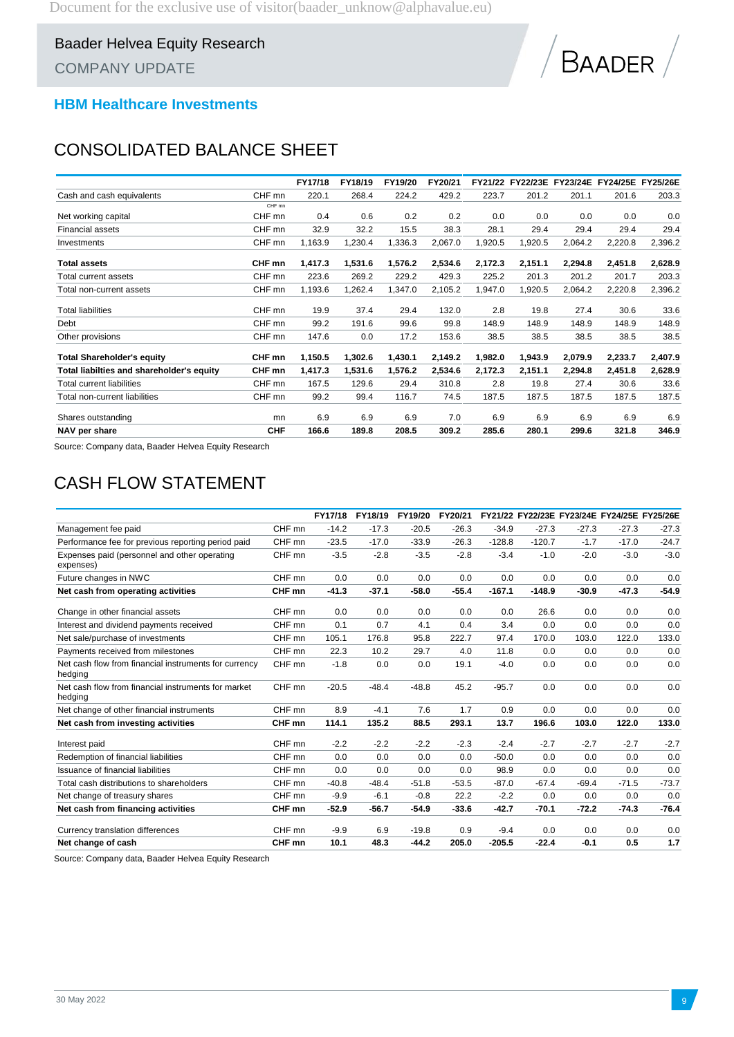

### **HBM Healthcare Investments**

### CONSOLIDATED BALANCE SHEET

|                                           |            | FY17/18 | FY18/19 | FY19/20 | FY20/21 |         | FY21/22 FY22/23E |         | FY23/24E FY24/25E FY25/26E |         |
|-------------------------------------------|------------|---------|---------|---------|---------|---------|------------------|---------|----------------------------|---------|
| Cash and cash equivalents                 | CHF mn     | 220.1   | 268.4   | 224.2   | 429.2   | 223.7   | 201.2            | 201.1   | 201.6                      | 203.3   |
|                                           | CHF mn     |         |         |         |         |         |                  |         |                            |         |
| Net working capital                       | CHF mn     | 0.4     | 0.6     | 0.2     | 0.2     | 0.0     | 0.0              | 0.0     | 0.0                        | 0.0     |
| <b>Financial assets</b>                   | CHF mn     | 32.9    | 32.2    | 15.5    | 38.3    | 28.1    | 29.4             | 29.4    | 29.4                       | 29.4    |
| Investments                               | CHF mn     | 1,163.9 | 1,230.4 | 1,336.3 | 2,067.0 | 1,920.5 | 1,920.5          | 2,064.2 | 2,220.8                    | 2,396.2 |
| <b>Total assets</b>                       | CHF mn     | 1,417.3 | 1,531.6 | 1,576.2 | 2,534.6 | 2,172.3 | 2,151.1          | 2,294.8 | 2,451.8                    | 2,628.9 |
| Total current assets                      | CHF mn     | 223.6   | 269.2   | 229.2   | 429.3   | 225.2   | 201.3            | 201.2   | 201.7                      | 203.3   |
| Total non-current assets                  | CHF mn     | 1,193.6 | 1,262.4 | 1,347.0 | 2,105.2 | 1,947.0 | 1,920.5          | 2,064.2 | 2,220.8                    | 2,396.2 |
| <b>Total liabilities</b>                  | CHF mn     | 19.9    | 37.4    | 29.4    | 132.0   | 2.8     | 19.8             | 27.4    | 30.6                       | 33.6    |
| Debt                                      | CHF mn     | 99.2    | 191.6   | 99.6    | 99.8    | 148.9   | 148.9            | 148.9   | 148.9                      | 148.9   |
| Other provisions                          | CHF mn     | 147.6   | 0.0     | 17.2    | 153.6   | 38.5    | 38.5             | 38.5    | 38.5                       | 38.5    |
| <b>Total Shareholder's equity</b>         | CHF mn     | 1,150.5 | 1,302.6 | 1,430.1 | 2,149.2 | 1,982.0 | 1,943.9          | 2,079.9 | 2,233.7                    | 2,407.9 |
| Total liabilties and shareholder's equity | CHF mn     | 1,417.3 | 1,531.6 | 1,576.2 | 2,534.6 | 2,172.3 | 2,151.1          | 2,294.8 | 2,451.8                    | 2,628.9 |
| <b>Total current liabilities</b>          | CHF mn     | 167.5   | 129.6   | 29.4    | 310.8   | 2.8     | 19.8             | 27.4    | 30.6                       | 33.6    |
| Total non-current liabilities             | CHF mn     | 99.2    | 99.4    | 116.7   | 74.5    | 187.5   | 187.5            | 187.5   | 187.5                      | 187.5   |
| Shares outstanding                        | mn         | 6.9     | 6.9     | 6.9     | 7.0     | 6.9     | 6.9              | 6.9     | 6.9                        | 6.9     |
| NAV per share                             | <b>CHF</b> | 166.6   | 189.8   | 208.5   | 309.2   | 285.6   | 280.1            | 299.6   | 321.8                      | 346.9   |

Source: Company data, Baader Helvea Equity Research

## CASH FLOW STATEMENT

|                                                                  |        | FY17/18 | FY18/19 | FY19/20 | FY20/21 |          |          |         |         | FY21/22 FY22/23E FY23/24E FY24/25E FY25/26E |
|------------------------------------------------------------------|--------|---------|---------|---------|---------|----------|----------|---------|---------|---------------------------------------------|
| Management fee paid                                              | CHF mn | $-14.2$ | $-17.3$ | $-20.5$ | $-26.3$ | $-34.9$  | $-27.3$  | $-27.3$ | $-27.3$ | $-27.3$                                     |
| Performance fee for previous reporting period paid               | CHF mn | $-23.5$ | $-17.0$ | $-33.9$ | $-26.3$ | $-128.8$ | $-120.7$ | $-1.7$  | $-17.0$ | $-24.7$                                     |
| Expenses paid (personnel and other operating<br>expenses)        | CHF mn | $-3.5$  | $-2.8$  | $-3.5$  | $-2.8$  | $-3.4$   | $-1.0$   | $-2.0$  | $-3.0$  | $-3.0$                                      |
| Future changes in NWC                                            | CHF mn | 0.0     | 0.0     | 0.0     | 0.0     | 0.0      | 0.0      | 0.0     | 0.0     | 0.0                                         |
| Net cash from operating activities                               | CHF mn | $-41.3$ | $-37.1$ | $-58.0$ | $-55.4$ | $-167.1$ | $-148.9$ | $-30.9$ | $-47.3$ | $-54.9$                                     |
| Change in other financial assets                                 | CHF mn | 0.0     | 0.0     | 0.0     | 0.0     | 0.0      | 26.6     | 0.0     | 0.0     | 0.0                                         |
| Interest and dividend payments received                          | CHF mn | 0.1     | 0.7     | 4.1     | 0.4     | 3.4      | 0.0      | 0.0     | 0.0     | 0.0                                         |
| Net sale/purchase of investments                                 | CHF mn | 105.1   | 176.8   | 95.8    | 222.7   | 97.4     | 170.0    | 103.0   | 122.0   | 133.0                                       |
| Payments received from milestones                                | CHF mn | 22.3    | 10.2    | 29.7    | 4.0     | 11.8     | 0.0      | 0.0     | 0.0     | 0.0                                         |
| Net cash flow from financial instruments for currency<br>hedging | CHF mn | $-1.8$  | 0.0     | 0.0     | 19.1    | $-4.0$   | 0.0      | 0.0     | 0.0     | 0.0                                         |
| Net cash flow from financial instruments for market<br>hedging   | CHF mn | $-20.5$ | $-48.4$ | $-48.8$ | 45.2    | $-95.7$  | 0.0      | 0.0     | 0.0     | 0.0                                         |
| Net change of other financial instruments                        | CHF mn | 8.9     | $-4.1$  | 7.6     | 1.7     | 0.9      | 0.0      | 0.0     | 0.0     | 0.0                                         |
| Net cash from investing activities                               | CHF mn | 114.1   | 135.2   | 88.5    | 293.1   | 13.7     | 196.6    | 103.0   | 122.0   | 133.0                                       |
| Interest paid                                                    | CHF mn | $-2.2$  | $-2.2$  | $-2.2$  | $-2.3$  | $-2.4$   | $-2.7$   | $-2.7$  | $-2.7$  | $-2.7$                                      |
| Redemption of financial liabilities                              | CHF mn | 0.0     | 0.0     | 0.0     | 0.0     | $-50.0$  | 0.0      | 0.0     | 0.0     | 0.0                                         |
| Issuance of financial liabilities                                | CHF mn | 0.0     | 0.0     | 0.0     | 0.0     | 98.9     | 0.0      | 0.0     | 0.0     | 0.0                                         |
| Total cash distributions to shareholders                         | CHF mn | $-40.8$ | $-48.4$ | $-51.8$ | $-53.5$ | $-87.0$  | $-67.4$  | $-69.4$ | $-71.5$ | $-73.7$                                     |
| Net change of treasury shares                                    | CHF mn | $-9.9$  | $-6.1$  | $-0.8$  | 22.2    | $-2.2$   | 0.0      | 0.0     | 0.0     | 0.0                                         |
| Net cash from financing activities                               | CHF mn | $-52.9$ | $-56.7$ | $-54.9$ | $-33.6$ | $-42.7$  | $-70.1$  | $-72.2$ | $-74.3$ | $-76.4$                                     |
| Currency translation differences                                 | CHF mn | $-9.9$  | 6.9     | $-19.8$ | 0.9     | $-9.4$   | 0.0      | 0.0     | 0.0     | 0.0                                         |
| Net change of cash                                               | CHF mn | 10.1    | 48.3    | $-44.2$ | 205.0   | $-205.5$ | $-22.4$  | $-0.1$  | 0.5     | 1.7                                         |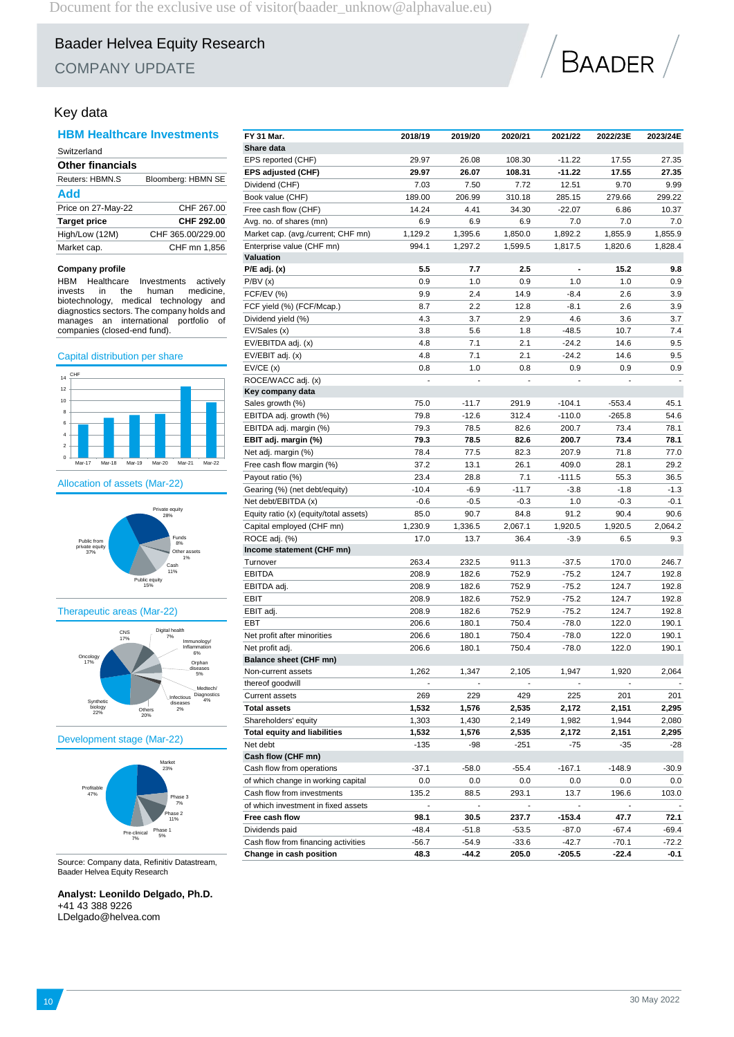COMPANY UPDATE



### Key data

### **HBM Healthcare Investments**

| Switzerland             |                    |
|-------------------------|--------------------|
| <b>Other financials</b> |                    |
| Reuters: HBMN.S         | Bloomberg: HBMN SE |
| Add                     |                    |
| Price on 27-May-22      | CHF 267.00         |
| <b>Target price</b>     | CHF 292.00         |
| High/Low (12M)          | CHF 365,00/229.00  |
| Market cap.             | CHF mn 1.856       |

#### **Company profile**

HBM Healthcare Investments actively invests in the human medicine, biotechnology, medical technology and diagnostics sectors. The company holds and manages an international portfolio of companies (closed-end fund).

#### Capital distribution per share

![](_page_9_Figure_10.jpeg)

Allocation of assets (Mar-22)

![](_page_9_Figure_12.jpeg)

#### Therapeutic areas (Mar-22)

![](_page_9_Figure_14.jpeg)

#### Development stage (Mar-22)

![](_page_9_Figure_16.jpeg)

Source: Company data, Refinitiv Datastream, Baader Helvea Equity Research

### **Analyst: Leonildo Delgado, Ph.D.**  $44.433386$

| +41 43 388 9226     |  |
|---------------------|--|
| LDelgado@helvea.com |  |

| FY 31 Mar.                             | 2018/19 | 2019/20 | 2020/21 | 2021/22                      | 2022/23E | 2023/24E |
|----------------------------------------|---------|---------|---------|------------------------------|----------|----------|
| Share data                             |         |         |         |                              |          |          |
| EPS reported (CHF)                     | 29.97   | 26.08   | 108.30  | $-11.22$                     | 17.55    | 27.35    |
| EPS adjusted (CHF)                     | 29.97   | 26.07   | 108.31  | $-11.22$                     | 17.55    | 27.35    |
| Dividend (CHF)                         | 7.03    | 7.50    | 7.72    | 12.51                        | 9.70     | 9.99     |
| Book value (CHF)                       | 189.00  | 206.99  | 310.18  | 285.15                       | 279.66   | 299.22   |
| Free cash flow (CHF)                   | 14.24   | 4.41    | 34.30   | $-22.07$                     | 6.86     | 10.37    |
| Avg. no. of shares (mn)                | 6.9     | 6.9     | 6.9     | 7.0                          | 7.0      | 7.0      |
| Market cap. (avg./current; CHF mn)     | 1,129.2 | 1,395.6 | 1,850.0 | 1,892.2                      | 1,855.9  | 1,855.9  |
| Enterprise value (CHF mn)              | 994.1   | 1,297.2 | 1,599.5 | 1,817.5                      | 1,820.6  | 1,828.4  |
| Valuation                              |         |         |         |                              |          |          |
| $P/E$ adj. $(x)$                       | 5.5     | 7.7     | 2.5     | $\qquad \qquad \blacksquare$ | 15.2     | 9.8      |
| P/BV(x)                                | 0.9     | 1.0     | 0.9     | 1.0                          | 1.0      | 0.9      |
| FCF/EV (%)                             | 9.9     | 2.4     | 14.9    | $-8.4$                       | 2.6      | 3.9      |
| FCF yield (%) (FCF/Mcap.)              | 8.7     | 2.2     | 12.8    | $-8.1$                       | 2.6      | 3.9      |
| Dividend yield (%)                     | 4.3     | 3.7     | 2.9     | 4.6                          | 3.6      | 3.7      |
| EV/Sales (x)                           | 3.8     | 5.6     | 1.8     | $-48.5$                      | 10.7     | 7.4      |
| EV/EBITDA adj. (x)                     | 4.8     | 7.1     | 2.1     | $-24.2$                      | 14.6     | 9.5      |
| EV/EBIT adj. (x)                       | 4.8     | 7.1     | 2.1     | $-24.2$                      | 14.6     | 9.5      |
| EV/CE(x)                               | 0.8     | 1.0     | 0.8     | 0.9                          | 0.9      | 0.9      |
| ROCE/WACC adj. (x)                     |         |         |         |                              |          |          |
| Key company data                       |         |         |         |                              |          |          |
| Sales growth (%)                       | 75.0    | $-11.7$ | 291.9   | $-104.1$                     | $-553.4$ | 45.1     |
| EBITDA adj. growth (%)                 | 79.8    | $-12.6$ | 312.4   | $-110.0$                     | $-265.8$ | 54.6     |
| EBITDA adj. margin (%)                 | 79.3    | 78.5    | 82.6    | 200.7                        | 73.4     | 78.1     |
| EBIT adj. margin (%)                   | 79.3    | 78.5    | 82.6    | 200.7                        | 73.4     | 78.1     |
| Net adj. margin (%)                    | 78.4    | 77.5    | 82.3    | 207.9                        | 71.8     | 77.0     |
| Free cash flow margin (%)              | 37.2    | 13.1    | 26.1    | 409.0                        | 28.1     | 29.2     |
| Payout ratio (%)                       | 23.4    | 28.8    | 7.1     | $-111.5$                     | 55.3     | 36.5     |
| Gearing (%) (net debt/equity)          | $-10.4$ | $-6.9$  | $-11.7$ | $-3.8$                       | $-1.8$   | $-1.3$   |
| Net debt/EBITDA (x)                    | $-0.6$  | $-0.5$  | $-0.3$  | 1.0                          | $-0.3$   | $-0.1$   |
| Equity ratio (x) (equity/total assets) | 85.0    | 90.7    | 84.8    | 91.2                         | 90.4     | 90.6     |
| Capital employed (CHF mn)              | 1,230.9 | 1,336.5 | 2,067.1 | 1,920.5                      | 1,920.5  | 2,064.2  |
| ROCE adj. (%)                          | 17.0    | 13.7    | 36.4    | $-3.9$                       | 6.5      | 9.3      |
| Income statement (CHF mn)              |         |         |         |                              |          |          |
| Turnover                               | 263.4   | 232.5   | 911.3   | $-37.5$                      | 170.0    | 246.7    |
| <b>EBITDA</b>                          | 208.9   | 182.6   | 752.9   | $-75.2$                      | 124.7    | 192.8    |
| EBITDA adj.                            | 208.9   | 182.6   | 752.9   | $-75.2$                      | 124.7    | 192.8    |
| EBIT                                   | 208.9   | 182.6   | 752.9   | $-75.2$                      | 124.7    | 192.8    |
| EBIT adj.                              | 208.9   | 182.6   | 752.9   | $-75.2$                      | 124.7    | 192.8    |
| <b>EBT</b>                             | 206.6   | 180.1   | 750.4   | $-78.0$                      | 122.0    | 190.1    |
| Net profit after minorities            | 206.6   | 180.1   | 750.4   | $-78.0$                      | 122.0    | 190.1    |
| Net profit adj.                        | 206.6   | 180.1   | 750.4   | $-78.0$                      | 122.0    | 190.1    |
| <b>Balance sheet (CHF mn)</b>          |         |         |         |                              |          |          |
| Non-current assets                     | 1,262   | 1,347   | 2,105   | 1,947                        | 1,920    | 2,064    |
| thereof goodwill                       |         |         |         |                              |          |          |
| <b>Current assets</b>                  | 269     | 229     | 429     | 225                          | 201      | 201      |
| <b>Total assets</b>                    | 1,532   | 1,576   | 2,535   | 2,172                        | 2,151    | 2,295    |
| Shareholders' equity                   | 1,303   | 1,430   | 2,149   | 1,982                        | 1,944    | 2,080    |
| <b>Total equity and liabilities</b>    | 1,532   | 1,576   | 2,535   | 2,172                        | 2,151    | 2,295    |
| Net debt                               | $-135$  | -98     | $-251$  | $-75$                        | $-35$    | -28      |
| Cash flow (CHF mn)                     |         |         |         |                              |          |          |
| Cash flow from operations              | -37.1   | -58.0   | $-55.4$ | $-167.1$                     | -148.9   | $-30.9$  |
| of which change in working capital     | 0.0     | $0.0\,$ | 0.0     | 0.0                          | $0.0\,$  | 0.0      |
| Cash flow from investments             | 135.2   | 88.5    | 293.1   | 13.7                         | 196.6    | 103.0    |
| of which investment in fixed assets    |         |         |         |                              |          |          |
| Free cash flow                         | 98.1    | 30.5    | 237.7   | $-153.4$                     | 47.7     | 72.1     |
| Dividends paid                         | $-48.4$ | -51.8   | $-53.5$ | -87.0                        | -67.4    | $-69.4$  |
| Cash flow from financing activities    | $-56.7$ | -54.9   | $-33.6$ | $-42.7$                      | $-70.1$  | $-72.2$  |
| Change in cash position                | 48.3    | $-44.2$ | 205.0   | $-205.5$                     | $-22.4$  | $-0.1$   |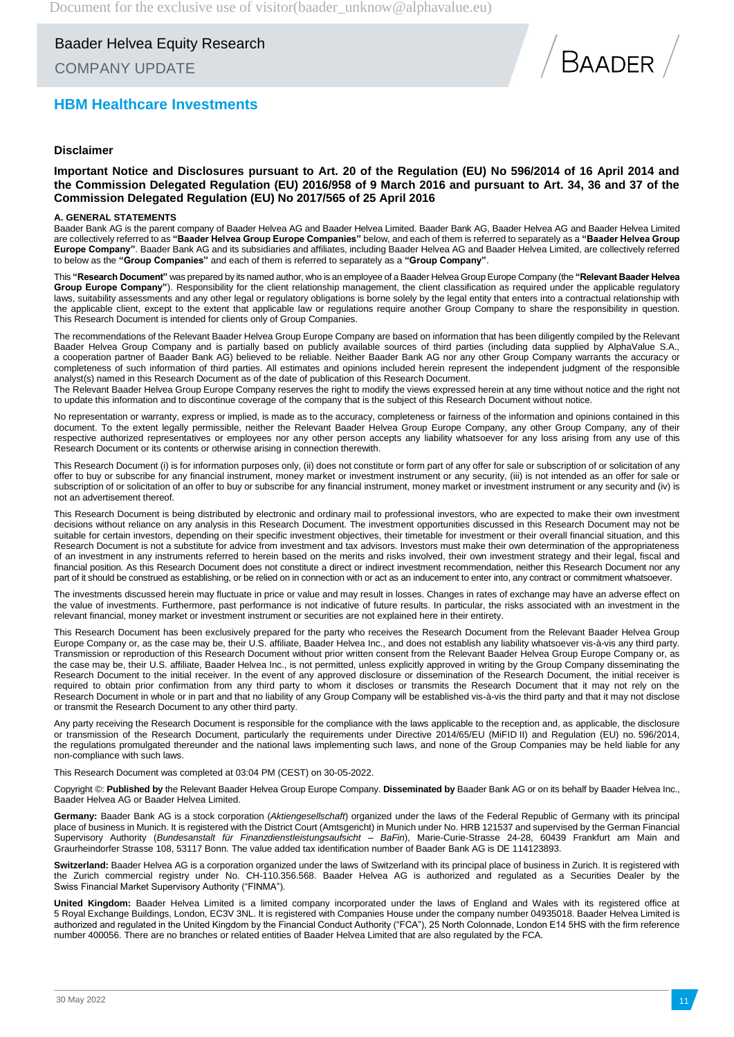COMPANY UPDATE

### **HBM Healthcare Investments**

### **Disclaimer**

**Important Notice and Disclosures pursuant to Art. 20 of the Regulation (EU) No 596/2014 of 16 April 2014 and the Commission Delegated Regulation (EU) 2016/958 of 9 March 2016 and pursuant to Art. 34, 36 and 37 of the Commission Delegated Regulation (EU) No 2017/565 of 25 April 2016**

#### **A. GENERAL STATEMENTS**

Baader Bank AG is the parent company of Baader Helvea AG and Baader Helvea Limited. Baader Bank AG, Baader Helvea AG and Baader Helvea Limited are collectively referred to as **"Baader Helvea Group Europe Companies"** below, and each of them is referred to separately as a **"Baader Helvea Group Europe Company"**. Baader Bank AG and its subsidiaries and affiliates, including Baader Helvea AG and Baader Helvea Limited, are collectively referred to below as the **"Group Companies"** and each of them is referred to separately as a **"Group Company"**.

This **"Research Document"** was prepared by its named author, who is an employee of a Baader Helvea Group Europe Company (the **"Relevant Baader Helvea Group Europe Company"**). Responsibility for the client relationship management, the client classification as required under the applicable regulatory laws, suitability assessments and any other legal or regulatory obligations is borne solely by the legal entity that enters into a contractual relationship with the applicable client, except to the extent that applicable law or regulations require another Group Company to share the responsibility in question. This Research Document is intended for clients only of Group Companies.

The recommendations of the Relevant Baader Helvea Group Europe Company are based on information that has been diligently compiled by the Relevant Baader Helvea Group Company and is partially based on publicly available sources of third parties (including data supplied by AlphaValue S.A., a cooperation partner of Baader Bank AG) believed to be reliable. Neither Baader Bank AG nor any other Group Company warrants the accuracy or completeness of such information of third parties. All estimates and opinions included herein represent the independent judgment of the responsible analyst(s) named in this Research Document as of the date of publication of this Research Document.

The Relevant Baader Helvea Group Europe Company reserves the right to modify the views expressed herein at any time without notice and the right not to update this information and to discontinue coverage of the company that is the subject of this Research Document without notice.

No representation or warranty, express or implied, is made as to the accuracy, completeness or fairness of the information and opinions contained in this document. To the extent legally permissible, neither the Relevant Baader Helvea Group Europe Company, any other Group Company, any of their respective authorized representatives or employees nor any other person accepts any liability whatsoever for any loss arising from any use of this Research Document or its contents or otherwise arising in connection therewith.

This Research Document (i) is for information purposes only, (ii) does not constitute or form part of any offer for sale or subscription of or solicitation of any offer to buy or subscribe for any financial instrument, money market or investment instrument or any security, (iii) is not intended as an offer for sale or subscription of or solicitation of an offer to buy or subscribe for any financial instrument, money market or investment instrument or any security and (iv) is not an advertisement thereof.

This Research Document is being distributed by electronic and ordinary mail to professional investors, who are expected to make their own investment decisions without reliance on any analysis in this Research Document. The investment opportunities discussed in this Research Document may not be suitable for certain investors, depending on their specific investment objectives, their timetable for investment or their overall financial situation, and this Research Document is not a substitute for advice from investment and tax advisors. Investors must make their own determination of the appropriateness of an investment in any instruments referred to herein based on the merits and risks involved, their own investment strategy and their legal, fiscal and financial position. As this Research Document does not constitute a direct or indirect investment recommendation, neither this Research Document nor any part of it should be construed as establishing, or be relied on in connection with or act as an inducement to enter into, any contract or commitment whatsoever.

The investments discussed herein may fluctuate in price or value and may result in losses. Changes in rates of exchange may have an adverse effect on the value of investments. Furthermore, past performance is not indicative of future results. In particular, the risks associated with an investment in the relevant financial, money market or investment instrument or securities are not explained here in their entirety.

This Research Document has been exclusively prepared for the party who receives the Research Document from the Relevant Baader Helvea Group Europe Company or, as the case may be, their U.S. affiliate, Baader Helvea Inc., and does not establish any liability whatsoever vis-à-vis any third party. Transmission or reproduction of this Research Document without prior written consent from the Relevant Baader Helvea Group Europe Company or, as the case may be, their U.S. affiliate, Baader Helvea Inc., is not permitted, unless explicitly approved in writing by the Group Company disseminating the Research Document to the initial receiver. In the event of any approved disclosure or dissemination of the Research Document, the initial receiver is required to obtain prior confirmation from any third party to whom it discloses or transmits the Research Document that it may not rely on the Research Document in whole or in part and that no liability of any Group Company will be established vis-à-vis the third party and that it may not disclose or transmit the Research Document to any other third party.

Any party receiving the Research Document is responsible for the compliance with the laws applicable to the reception and, as applicable, the disclosure or transmission of the Research Document, particularly the requirements under Directive 2014/65/EU (MiFID II) and Regulation (EU) no. 596/2014, the regulations promulgated thereunder and the national laws implementing such laws, and none of the Group Companies may be held liable for any non-compliance with such laws.

This Research Document was completed at 03:04 PM (CEST) on 30-05-2022.

Copyright ©: **Published by** the Relevant Baader Helvea Group Europe Company. **Disseminated by** Baader Bank AG or on its behalf by Baader Helvea Inc., Baader Helvea AG or Baader Helvea Limited.

**Germany:** Baader Bank AG is a stock corporation (*Aktiengesellschaft*) organized under the laws of the Federal Republic of Germany with its principal place of business in Munich. It is registered with the District Court (Amtsgericht) in Munich under No. HRB 121537 and supervised by the German Financial Supervisory Authority (*Bundesanstalt für Finanzdienstleistungsaufsicht – BaFin*), Marie-Curie-Strasse 24-28, 60439 Frankfurt am Main and Graurheindorfer Strasse 108, 53117 Bonn. The value added tax identification number of Baader Bank AG is DE 114123893.

**Switzerland:** Baader Helvea AG is a corporation organized under the laws of Switzerland with its principal place of business in Zurich. It is registered with the Zurich commercial registry under No. CH-110.356.568. Baader Helvea AG is authorized and regulated as a Securities Dealer by the Swiss Financial Market Supervisory Authority ("FINMA").

**United Kingdom:** Baader Helvea Limited is a limited company incorporated under the laws of England and Wales with its registered office at 5 Royal Exchange Buildings, London, EC3V 3NL. It is registered with Companies House under the company number 04935018. Baader Helvea Limited is authorized and regulated in the United Kingdom by the Financial Conduct Authority ("FCA"), 25 North Colonnade, London E14 5HS with the firm reference number 400056. There are no branches or related entities of Baader Helvea Limited that are also regulated by the FCA.

**BAADER**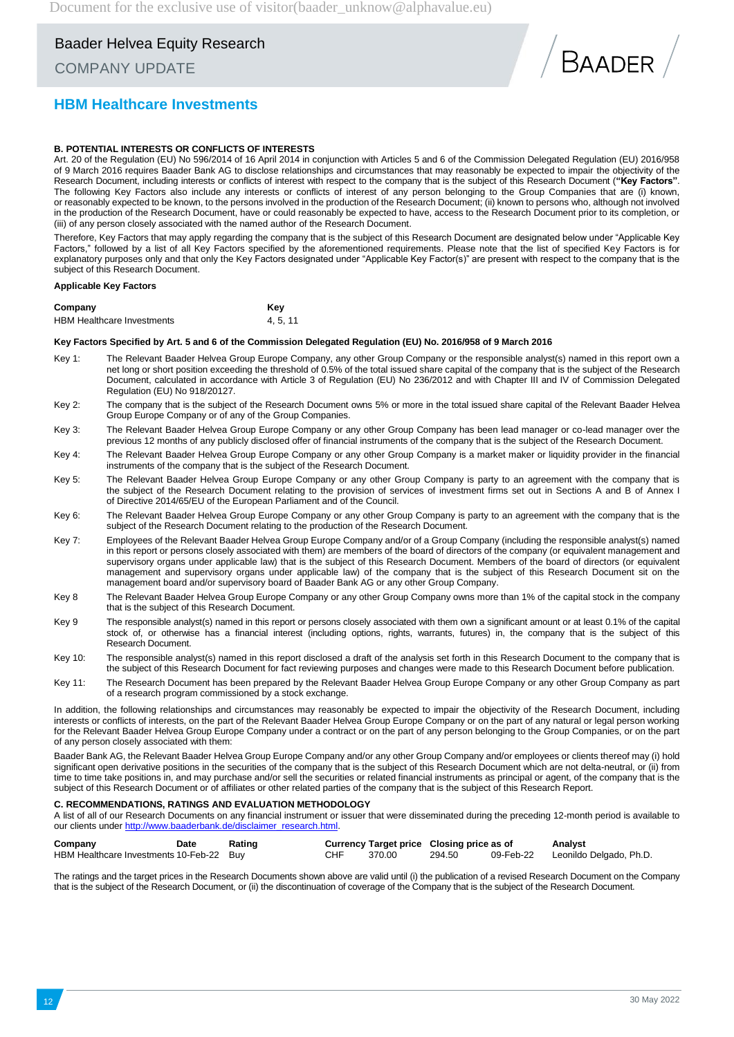### COMPANY UPDATE

![](_page_11_Picture_3.jpeg)

### **HBM Healthcare Investments**

#### **B. POTENTIAL INTERESTS OR CONFLICTS OF INTERESTS**

Art. 20 of the Regulation (EU) No 596/2014 of 16 April 2014 in conjunction with Articles 5 and 6 of the Commission Delegated Regulation (EU) 2016/958 of 9 March 2016 requires Baader Bank AG to disclose relationships and circumstances that may reasonably be expected to impair the objectivity of the Research Document, including interests or conflicts of interest with respect to the company that is the subject of this Research Document (**"Key Factors"**. The following Key Factors also include any interests or conflicts of interest of any person belonging to the Group Companies that are (i) known, or reasonably expected to be known, to the persons involved in the production of the Research Document; (ii) known to persons who, although not involved in the production of the Research Document, have or could reasonably be expected to have, access to the Research Document prior to its completion, or (iii) of any person closely associated with the named author of the Research Document.

Therefore, Key Factors that may apply regarding the company that is the subject of this Research Document are designated below under "Applicable Key Factors," followed by a list of all Key Factors specified by the aforementioned requirements. Please note that the list of specified Key Factors is for explanatory purposes only and that only the Key Factors designated under "Applicable Key Factor(s)" are present with respect to the company that is the subject of this Research Document.

#### **Applicable Key Factors**

| Company                           | Kev    |
|-----------------------------------|--------|
| <b>HBM Healthcare Investments</b> | 4.5.11 |

#### **Key Factors Specified by Art. 5 and 6 of the Commission Delegated Regulation (EU) No. 2016/958 of 9 March 2016**

- Key 1: The Relevant Baader Helvea Group Europe Company, any other Group Company or the responsible analyst(s) named in this report own a net long or short position exceeding the threshold of 0.5% of the total issued share capital of the company that is the subject of the Research Document, calculated in accordance with Article 3 of Regulation (EU) No 236/2012 and with Chapter III and IV of Commission Delegated Regulation (EU) No 918/20127.
- Key 2: The company that is the subject of the Research Document owns 5% or more in the total issued share capital of the Relevant Baader Helvea Group Europe Company or of any of the Group Companies.
- Key 3: The Relevant Baader Helvea Group Europe Company or any other Group Company has been lead manager or co-lead manager over the previous 12 months of any publicly disclosed offer of financial instruments of the company that is the subject of the Research Document.
- Key 4: The Relevant Baader Helvea Group Europe Company or any other Group Company is a market maker or liquidity provider in the financial instruments of the company that is the subject of the Research Document.
- Key 5: The Relevant Baader Helvea Group Europe Company or any other Group Company is party to an agreement with the company that is the subject of the Research Document relating to the provision of services of investment firms set out in Sections A and B of Annex I of Directive 2014/65/EU of the European Parliament and of the Council.
- Key 6: The Relevant Baader Helvea Group Europe Company or any other Group Company is party to an agreement with the company that is the subject of the Research Document relating to the production of the Research Document.
- Key 7: Employees of the Relevant Baader Helvea Group Europe Company and/or of a Group Company (including the responsible analyst(s) named in this report or persons closely associated with them) are members of the board of directors of the company (or equivalent management and supervisory organs under applicable law) that is the subject of this Research Document. Members of the board of directors (or equivalent management and supervisory organs under applicable law) of the company that is the subject of this Research Document sit on the management board and/or supervisory board of Baader Bank AG or any other Group Company.
- Key 8 The Relevant Baader Helvea Group Europe Company or any other Group Company owns more than 1% of the capital stock in the company that is the subject of this Research Document.
- Key 9 The responsible analyst(s) named in this report or persons closely associated with them own a significant amount or at least 0.1% of the capital stock of, or otherwise has a financial interest (including options, rights, warrants, futures) in, the company that is the subject of this Research Document.
- Key 10: The responsible analyst(s) named in this report disclosed a draft of the analysis set forth in this Research Document to the company that is the subject of this Research Document for fact reviewing purposes and changes were made to this Research Document before publication.
- Key 11: The Research Document has been prepared by the Relevant Baader Helvea Group Europe Company or any other Group Company as part of a research program commissioned by a stock exchange.

In addition, the following relationships and circumstances may reasonably be expected to impair the objectivity of the Research Document, including interests or conflicts of interests, on the part of the Relevant Baader Helvea Group Europe Company or on the part of any natural or legal person working for the Relevant Baader Helvea Group Europe Company under a contract or on the part of any person belonging to the Group Companies, or on the part of any person closely associated with them:

Baader Bank AG, the Relevant Baader Helvea Group Europe Company and/or any other Group Company and/or employees or clients thereof may (i) hold significant open derivative positions in the securities of the company that is the subject of this Research Document which are not delta-neutral, or (ii) from time to time take positions in, and may purchase and/or sell the securities or related financial instruments as principal or agent, of the company that is the subject of this Research Document or of affiliates or other related parties of the company that is the subject of this Research Report.

#### **C. RECOMMENDATIONS, RATINGS AND EVALUATION METHODOLOGY**

A list of all of our Research Documents on any financial instrument or issuer that were disseminated during the preceding 12-month period is available to our clients unde[r http://www.baaderbank.de/disclaimer\\_research.html.](http://www.baaderbank.de/disclaimer_research.html)

| Company                                  | Date | Rating |     |        | Currency Target price Closing price as of | Analyst                           |
|------------------------------------------|------|--------|-----|--------|-------------------------------------------|-----------------------------------|
| HBM Healthcare Investments 10-Feb-22 Buy |      |        | CHF | 370.00 | 294.50                                    | 09-Feb-22 Leonildo Delgado, Ph.D. |

The ratings and the target prices in the Research Documents shown above are valid until (i) the publication of a revised Research Document on the Company that is the subject of the Research Document, or (ii) the discontinuation of coverage of the Company that is the subject of the Research Document.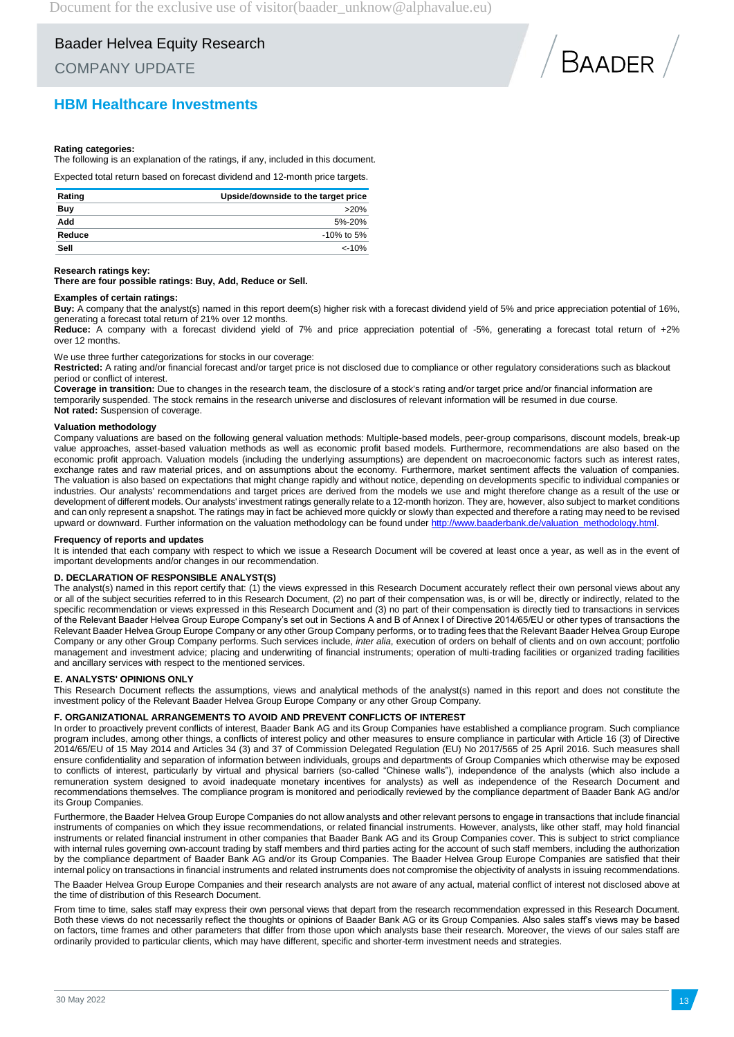COMPANY UPDATE

### **HBM Healthcare Investments**

![](_page_12_Picture_4.jpeg)

#### **Rating categories:**

The following is an explanation of the ratings, if any, included in this document.

Expected total return based on forecast dividend and 12-month price targets.

| Rating | Upside/downside to the target price |
|--------|-------------------------------------|
| Buy    | $>20\%$                             |
| Add    | $5% - 20%$                          |
| Reduce | $-10\%$ to 5%                       |
| Sell   | $< -10%$                            |

#### **Research ratings key:**

**There are four possible ratings: Buy, Add, Reduce or Sell.**

#### **Examples of certain ratings:**

**Buy:** A company that the analyst(s) named in this report deem(s) higher risk with a forecast dividend yield of 5% and price appreciation potential of 16%, generating a forecast total return of 21% over 12 months.

**Reduce:** A company with a forecast dividend yield of 7% and price appreciation potential of -5%, generating a forecast total return of +2% over 12 months.

We use three further categorizations for stocks in our coverage:

**Restricted:** A rating and/or financial forecast and/or target price is not disclosed due to compliance or other regulatory considerations such as blackout period or conflict of interest.

**Coverage in transition:** Due to changes in the research team, the disclosure of a stock's rating and/or target price and/or financial information are temporarily suspended. The stock remains in the research universe and disclosures of relevant information will be resumed in due course. **Not rated:** Suspension of coverage.

#### **Valuation methodology**

Company valuations are based on the following general valuation methods: Multiple-based models, peer-group comparisons, discount models, break-up value approaches, asset-based valuation methods as well as economic profit based models. Furthermore, recommendations are also based on the economic profit approach. Valuation models (including the underlying assumptions) are dependent on macroeconomic factors such as interest rates, exchange rates and raw material prices, and on assumptions about the economy. Furthermore, market sentiment affects the valuation of companies. The valuation is also based on expectations that might change rapidly and without notice, depending on developments specific to individual companies or industries. Our analysts' recommendations and target prices are derived from the models we use and might therefore change as a result of the use or development of different models. Our analysts' investment ratings generally relate to a 12-month horizon. They are, however, also subject to market conditions and can only represent a snapshot. The ratings may in fact be achieved more quickly or slowly than expected and therefore a rating may need to be revised upward or downward. Further information on the valuation methodology can be found under http://www.baaderbank.de/valuation

#### **Frequency of reports and updates**

It is intended that each company with respect to which we issue a Research Document will be covered at least once a year, as well as in the event of important developments and/or changes in our recommendation.

#### **D. DECLARATION OF RESPONSIBLE ANALYST(S)**

The analyst(s) named in this report certify that: (1) the views expressed in this Research Document accurately reflect their own personal views about any or all of the subject securities referred to in this Research Document, (2) no part of their compensation was, is or will be, directly or indirectly, related to the specific recommendation or views expressed in this Research Document and (3) no part of their compensation is directly tied to transactions in services of the Relevant Baader Helvea Group Europe Company's set out in Sections A and B of Annex I of Directive 2014/65/EU or other types of transactions the Relevant Baader Helvea Group Europe Company or any other Group Company performs, or to trading fees that the Relevant Baader Helvea Group Europe Company or any other Group Company performs. Such services include, *inter alia*, execution of orders on behalf of clients and on own account; portfolio management and investment advice; placing and underwriting of financial instruments; operation of multi-trading facilities or organized trading facilities and ancillary services with respect to the mentioned services.

#### **E. ANALYSTS' OPINIONS ONLY**

This Research Document reflects the assumptions, views and analytical methods of the analyst(s) named in this report and does not constitute the investment policy of the Relevant Baader Helvea Group Europe Company or any other Group Company.

#### **F. ORGANIZATIONAL ARRANGEMENTS TO AVOID AND PREVENT CONFLICTS OF INTEREST**

In order to proactively prevent conflicts of interest, Baader Bank AG and its Group Companies have established a compliance program. Such compliance program includes, among other things, a conflicts of interest policy and other measures to ensure compliance in particular with Article 16 (3) of Directive 2014/65/EU of 15 May 2014 and Articles 34 (3) and 37 of Commission Delegated Regulation (EU) No 2017/565 of 25 April 2016. Such measures shall ensure confidentiality and separation of information between individuals, groups and departments of Group Companies which otherwise may be exposed to conflicts of interest, particularly by virtual and physical barriers (so-called "Chinese walls"), independence of the analysts (which also include a remuneration system designed to avoid inadequate monetary incentives for analysts) as well as independence of the Research Document and recommendations themselves. The compliance program is monitored and periodically reviewed by the compliance department of Baader Bank AG and/or its Group Companies.

Furthermore, the Baader Helvea Group Europe Companies do not allow analysts and other relevant persons to engage in transactions that include financial instruments of companies on which they issue recommendations, or related financial instruments. However, analysts, like other staff, may hold financial instruments or related financial instrument in other companies that Baader Bank AG and its Group Companies cover. This is subject to strict compliance with internal rules governing own-account trading by staff members and third parties acting for the account of such staff members, including the authorization by the compliance department of Baader Bank AG and/or its Group Companies. The Baader Helvea Group Europe Companies are satisfied that their internal policy on transactions in financial instruments and related instruments does not compromise the objectivity of analysts in issuing recommendations.

The Baader Helvea Group Europe Companies and their research analysts are not aware of any actual, material conflict of interest not disclosed above at the time of distribution of this Research Document.

From time to time, sales staff may express their own personal views that depart from the research recommendation expressed in this Research Document. Both these views do not necessarily reflect the thoughts or opinions of Baader Bank AG or its Group Companies. Also sales staff's views may be based on factors, time frames and other parameters that differ from those upon which analysts base their research. Moreover, the views of our sales staff are ordinarily provided to particular clients, which may have different, specific and shorter-term investment needs and strategies.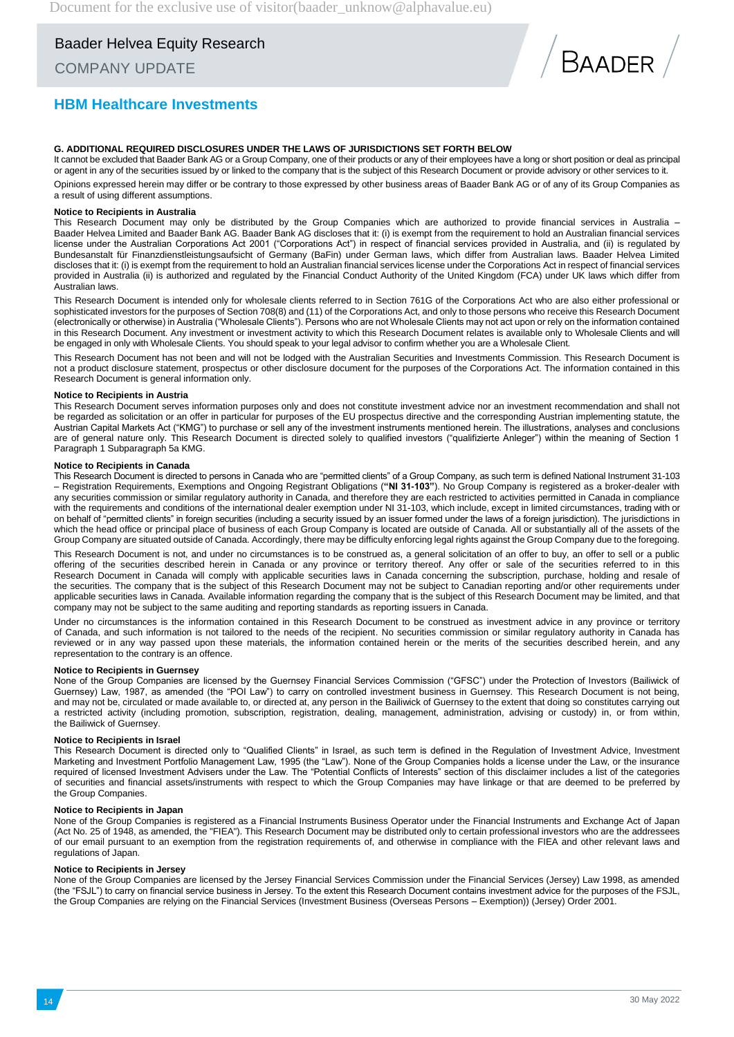COMPANY UPDATE

![](_page_13_Picture_3.jpeg)

### **HBM Healthcare Investments**

#### **G. ADDITIONAL REQUIRED DISCLOSURES UNDER THE LAWS OF JURISDICTIONS SET FORTH BELOW**

It cannot be excluded that Baader Bank AG or a Group Company, one of their products or any of their employees have a long or short position or deal as principal or agent in any of the securities issued by or linked to the company that is the subject of this Research Document or provide advisory or other services to it.

Opinions expressed herein may differ or be contrary to those expressed by other business areas of Baader Bank AG or of any of its Group Companies as a result of using different assumptions.

#### **Notice to Recipients in Australia**

This Research Document may only be distributed by the Group Companies which are authorized to provide financial services in Australia – Baader Helvea Limited and Baader Bank AG. Baader Bank AG discloses that it: (i) is exempt from the requirement to hold an Australian financial services license under the Australian Corporations Act 2001 ("Corporations Act") in respect of financial services provided in Australia, and (ii) is regulated by Bundesanstalt für Finanzdienstleistungsaufsicht of Germany (BaFin) under German laws, which differ from Australian laws. Baader Helvea Limited discloses that it: (i) is exempt from the requirement to hold an Australian financial services license under the Corporations Act in respect of financial services provided in Australia (ii) is authorized and regulated by the Financial Conduct Authority of the United Kingdom (FCA) under UK laws which differ from Australian laws.

This Research Document is intended only for wholesale clients referred to in Section 761G of the Corporations Act who are also either professional or sophisticated investors for the purposes of Section 708(8) and (11) of the Corporations Act, and only to those persons who receive this Research Document (electronically or otherwise) in Australia ("Wholesale Clients"). Persons who are not Wholesale Clients may not act upon or rely on the information contained in this Research Document. Any investment or investment activity to which this Research Document relates is available only to Wholesale Clients and will be engaged in only with Wholesale Clients. You should speak to your legal advisor to confirm whether you are a Wholesale Client.

This Research Document has not been and will not be lodged with the Australian Securities and Investments Commission. This Research Document is not a product disclosure statement, prospectus or other disclosure document for the purposes of the Corporations Act. The information contained in this Research Document is general information only.

#### **Notice to Recipients in Austria**

This Research Document serves information purposes only and does not constitute investment advice nor an investment recommendation and shall not be regarded as solicitation or an offer in particular for purposes of the EU prospectus directive and the corresponding Austrian implementing statute, the Austrian Capital Markets Act ("KMG") to purchase or sell any of the investment instruments mentioned herein. The illustrations, analyses and conclusions are of general nature only. This Research Document is directed solely to qualified investors ("qualifizierte Anleger") within the meaning of Section 1 Paragraph 1 Subparagraph 5a KMG.

#### **Notice to Recipients in Canada**

This Research Document is directed to persons in Canada who are "permitted clients" of a Group Company, as such term is defined National Instrument 31-103 – Registration Requirements, Exemptions and Ongoing Registrant Obligations (**"NI 31-103"**). No Group Company is registered as a broker-dealer with any securities commission or similar regulatory authority in Canada, and therefore they are each restricted to activities permitted in Canada in compliance with the requirements and conditions of the international dealer exemption under NI 31-103, which include, except in limited circumstances, trading with or on behalf of "permitted clients" in foreign securities (including a security issued by an issuer formed under the laws of a foreign jurisdiction). The jurisdictions in which the head office or principal place of business of each Group Company is located are outside of Canada. All or substantially all of the assets of the Group Company are situated outside of Canada. Accordingly, there may be difficulty enforcing legal rights against the Group Company due to the foregoing.

This Research Document is not, and under no circumstances is to be construed as, a general solicitation of an offer to buy, an offer to sell or a public offering of the securities described herein in Canada or any province or territory thereof. Any offer or sale of the securities referred to in this Research Document in Canada will comply with applicable securities laws in Canada concerning the subscription, purchase, holding and resale of the securities. The company that is the subject of this Research Document may not be subject to Canadian reporting and/or other requirements under applicable securities laws in Canada. Available information regarding the company that is the subject of this Research Document may be limited, and that company may not be subject to the same auditing and reporting standards as reporting issuers in Canada.

Under no circumstances is the information contained in this Research Document to be construed as investment advice in any province or territory of Canada, and such information is not tailored to the needs of the recipient. No securities commission or similar regulatory authority in Canada has reviewed or in any way passed upon these materials, the information contained herein or the merits of the securities described herein, and any representation to the contrary is an offence.

#### **Notice to Recipients in Guernsey**

None of the Group Companies are licensed by the Guernsey Financial Services Commission ("GFSC") under the Protection of Investors (Bailiwick of Guernsey) Law, 1987, as amended (the "POI Law") to carry on controlled investment business in Guernsey. This Research Document is not being, and may not be, circulated or made available to, or directed at, any person in the Bailiwick of Guernsey to the extent that doing so constitutes carrying out a restricted activity (including promotion, subscription, registration, dealing, management, administration, advising or custody) in, or from within, the Bailiwick of Guernsey.

#### **Notice to Recipients in Israel**

This Research Document is directed only to "Qualified Clients" in Israel, as such term is defined in the Regulation of Investment Advice, Investment Marketing and Investment Portfolio Management Law, 1995 (the "Law"). None of the Group Companies holds a license under the Law, or the insurance required of licensed Investment Advisers under the Law. The "Potential Conflicts of Interests" section of this disclaimer includes a list of the categories of securities and financial assets/instruments with respect to which the Group Companies may have linkage or that are deemed to be preferred by the Group Companies.

#### **Notice to Recipients in Japan**

None of the Group Companies is registered as a Financial Instruments Business Operator under the Financial Instruments and Exchange Act of Japan (Act No. 25 of 1948, as amended, the "FIEA"). This Research Document may be distributed only to certain professional investors who are the addressees of our email pursuant to an exemption from the registration requirements of, and otherwise in compliance with the FIEA and other relevant laws and regulations of Japan.

#### **Notice to Recipients in Jersey**

None of the Group Companies are licensed by the Jersey Financial Services Commission under the Financial Services (Jersey) Law 1998, as amended (the "FSJL") to carry on financial service business in Jersey. To the extent this Research Document contains investment advice for the purposes of the FSJL, the Group Companies are relying on the Financial Services (Investment Business (Overseas Persons – Exemption)) (Jersey) Order 2001.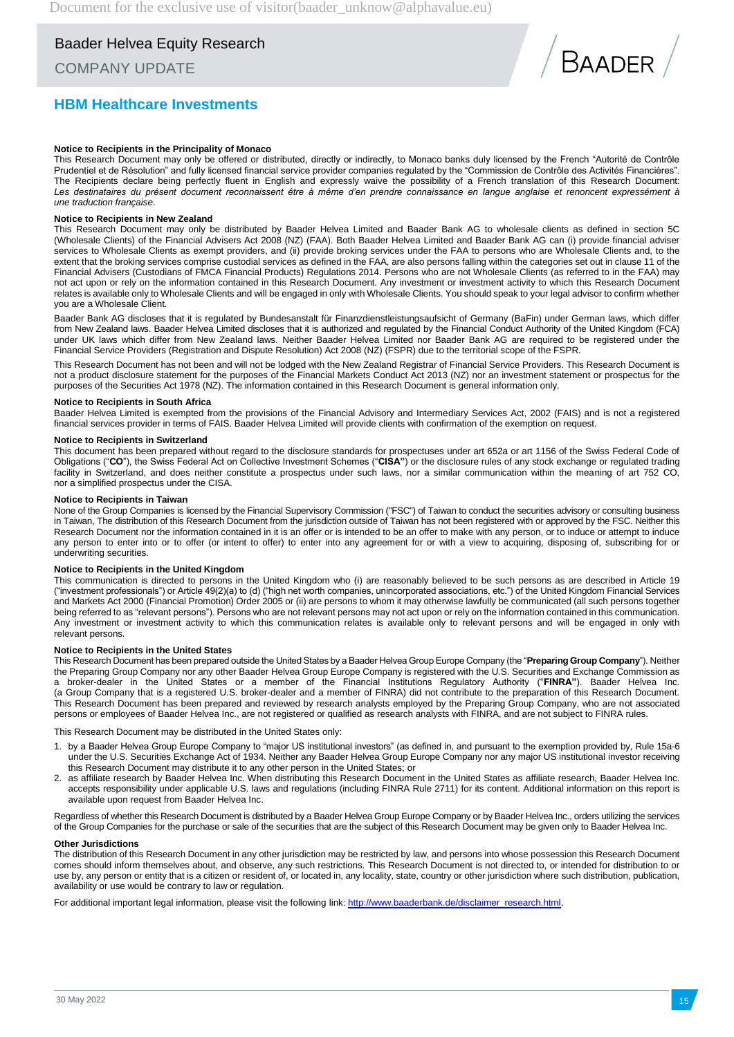### COMPANY UPDATE

### **HBM Healthcare Investments**

![](_page_14_Picture_4.jpeg)

#### **Notice to Recipients in the Principality of Monaco**

This Research Document may only be offered or distributed, directly or indirectly, to Monaco banks duly licensed by the French "Autorité de Contrôle Prudentiel et de Résolution" and fully licensed financial service provider companies regulated by the "Commission de Contrôle des Activités Financières". The Recipients declare being perfectly fluent in English and expressly waive the possibility of a French translation of this Research Document: Les destinataires du présent document reconnaissent être à même d'en prendre connaissance en langue anglaise et renoncent expressément à *une traduction française*.

#### **Notice to Recipients in New Zealand**

This Research Document may only be distributed by Baader Helvea Limited and Baader Bank AG to wholesale clients as defined in section 5C (Wholesale Clients) of the Financial Advisers Act 2008 (NZ) (FAA). Both Baader Helvea Limited and Baader Bank AG can (i) provide financial adviser services to Wholesale Clients as exempt providers, and (ii) provide broking services under the FAA to persons who are Wholesale Clients and, to the extent that the broking services comprise custodial services as defined in the FAA, are also persons falling within the categories set out in clause 11 of the Financial Advisers (Custodians of FMCA Financial Products) Regulations 2014. Persons who are not Wholesale Clients (as referred to in the FAA) may not act upon or rely on the information contained in this Research Document. Any investment or investment activity to which this Research Document relates is available only to Wholesale Clients and will be engaged in only with Wholesale Clients. You should speak to your legal advisor to confirm whether you are a Wholesale Client.

Baader Bank AG discloses that it is regulated by Bundesanstalt für Finanzdienstleistungsaufsicht of Germany (BaFin) under German laws, which differ from New Zealand laws. Baader Helvea Limited discloses that it is authorized and regulated by the Financial Conduct Authority of the United Kingdom (FCA) under UK laws which differ from New Zealand laws. Neither Baader Helvea Limited nor Baader Bank AG are required to be registered under the Financial Service Providers (Registration and Dispute Resolution) Act 2008 (NZ) (FSPR) due to the territorial scope of the FSPR.

This Research Document has not been and will not be lodged with the New Zealand Registrar of Financial Service Providers. This Research Document is not a product disclosure statement for the purposes of the Financial Markets Conduct Act 2013 (NZ) nor an investment statement or prospectus for the purposes of the Securities Act 1978 (NZ). The information contained in this Research Document is general information only.

#### **Notice to Recipients in South Africa**

Baader Helvea Limited is exempted from the provisions of the Financial Advisory and Intermediary Services Act, 2002 (FAIS) and is not a registered financial services provider in terms of FAIS. Baader Helvea Limited will provide clients with confirmation of the exemption on request.

#### **Notice to Recipients in Switzerland**

This document has been prepared without regard to the disclosure standards for prospectuses under art 652a or art 1156 of the Swiss Federal Code of Obligations ("**CO**"), the Swiss Federal Act on Collective Investment Schemes ("**CISA"**) or the disclosure rules of any stock exchange or regulated trading facility in Switzerland, and does neither constitute a prospectus under such laws, nor a similar communication within the meaning of art 752 CO, nor a simplified prospectus under the CISA.

#### **Notice to Recipients in Taiwan**

None of the Group Companies is licensed by the Financial Supervisory Commission ("FSC") of Taiwan to conduct the securities advisory or consulting business in Taiwan, The distribution of this Research Document from the jurisdiction outside of Taiwan has not been registered with or approved by the FSC. Neither this Research Document nor the information contained in it is an offer or is intended to be an offer to make with any person, or to induce or attempt to induce any person to enter into or to offer (or intent to offer) to enter into any agreement for or with a view to acquiring, disposing of, subscribing for or underwriting securities.

#### **Notice to Recipients in the United Kingdom**

This communication is directed to persons in the United Kingdom who (i) are reasonably believed to be such persons as are described in Article 19 ("investment professionals") or Article 49(2)(a) to (d) ("high net worth companies, unincorporated associations, etc.") of the United Kingdom Financial Services and Markets Act 2000 (Financial Promotion) Order 2005 or (ii) are persons to whom it may otherwise lawfully be communicated (all such persons together being referred to as "relevant persons"). Persons who are not relevant persons may not act upon or rely on the information contained in this communication. Any investment or investment activity to which this communication relates is available only to relevant persons and will be engaged in only with relevant persons.

#### **Notice to Recipients in the United States**

This Research Document has been prepared outside the United States by a Baader Helvea Group Europe Company (the "**Preparing Group Company**"). Neither the Preparing Group Company nor any other Baader Helvea Group Europe Company is registered with the U.S. Securities and Exchange Commission as a broker-dealer in the United States or a member of the Financial Institutions Regulatory Authority ("**FINRA"**). Baader Helvea Inc. (a Group Company that is a registered U.S. broker-dealer and a member of FINRA) did not contribute to the preparation of this Research Document. This Research Document has been prepared and reviewed by research analysts employed by the Preparing Group Company, who are not associated persons or employees of Baader Helvea Inc., are not registered or qualified as research analysts with FINRA, and are not subject to FINRA rules.

This Research Document may be distributed in the United States only:

- 1. by a Baader Helvea Group Europe Company to "major US institutional investors" (as defined in, and pursuant to the exemption provided by, Rule 15a-6 under the U.S. Securities Exchange Act of 1934. Neither any Baader Helvea Group Europe Company nor any major US institutional investor receiving this Research Document may distribute it to any other person in the United States; or
- 2. as affiliate research by Baader Helvea Inc. When distributing this Research Document in the United States as affiliate research, Baader Helvea Inc. accepts responsibility under applicable U.S. laws and regulations (including FINRA Rule 2711) for its content. Additional information on this report is available upon request from Baader Helvea Inc.

Regardless of whether this Research Document is distributed by a Baader Helvea Group Europe Company or by Baader Helvea Inc., orders utilizing the services of the Group Companies for the purchase or sale of the securities that are the subject of this Research Document may be given only to Baader Helvea Inc.

#### **Other Jurisdictions**

The distribution of this Research Document in any other jurisdiction may be restricted by law, and persons into whose possession this Research Document comes should inform themselves about, and observe, any such restrictions. This Research Document is not directed to, or intended for distribution to or use by, any person or entity that is a citizen or resident of, or located in, any locality, state, country or other jurisdiction where such distribution, publication, availability or use would be contrary to law or regulation.

For additional important legal information, please visit the following link[: http://www.baaderbank.de/disclaimer\\_research.html.](http://www.baaderbank.de/disclaimer_research.html)